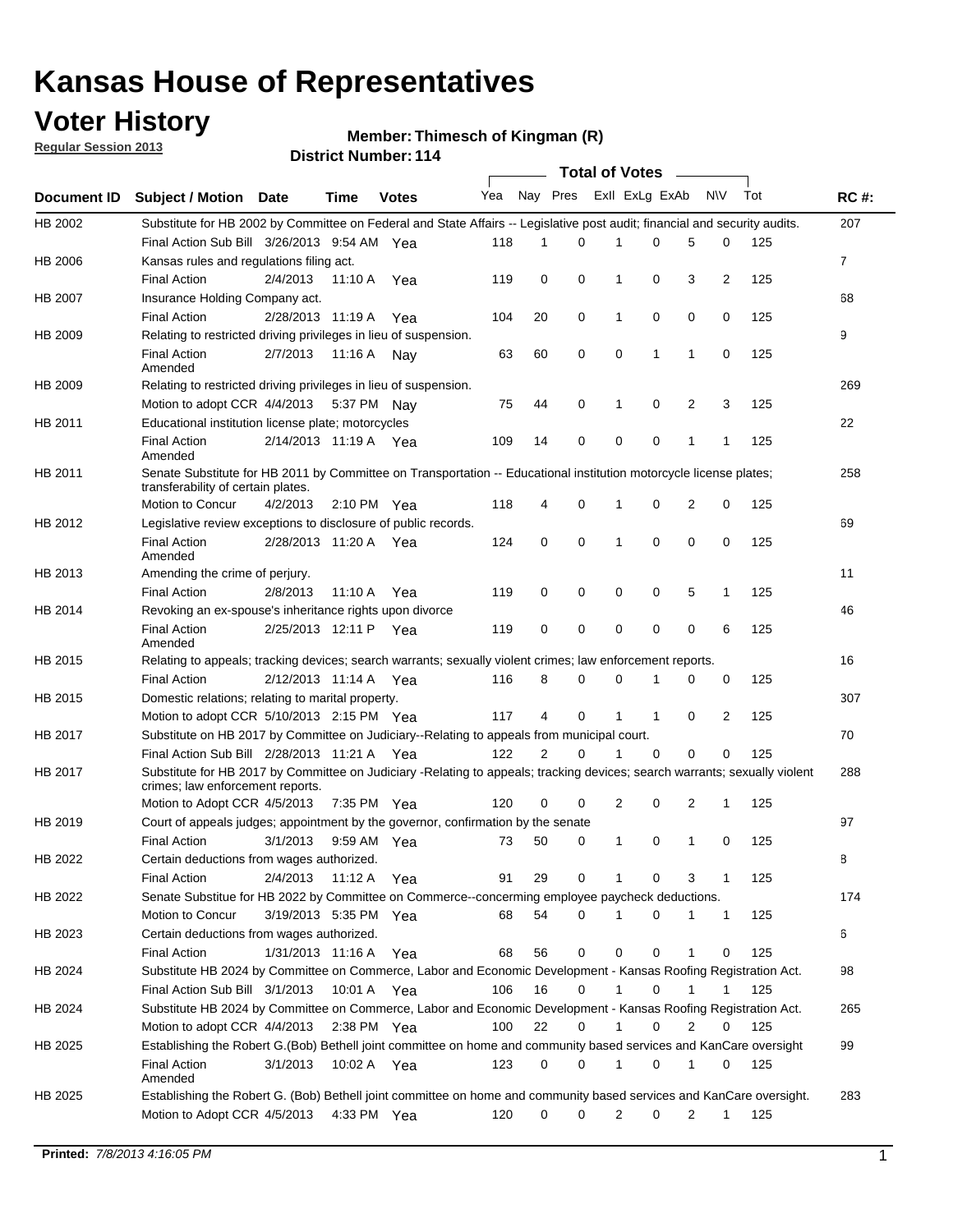## **Voter History**

**Member: Thimesch of Kingman (R)** 

**Regular Session 2013**

|             |                                                                                                                                                                |                       |             |               |     |          |          | <b>Total of Votes</b> |              |              |                |     |             |
|-------------|----------------------------------------------------------------------------------------------------------------------------------------------------------------|-----------------------|-------------|---------------|-----|----------|----------|-----------------------|--------------|--------------|----------------|-----|-------------|
| Document ID | <b>Subject / Motion Date</b>                                                                                                                                   |                       | Time        | <b>Votes</b>  | Yea | Nay Pres |          | Exll ExLg ExAb        |              |              | N\V            | Tot | <b>RC#:</b> |
| HB 2002     | Substitute for HB 2002 by Committee on Federal and State Affairs -- Legislative post audit; financial and security audits.                                     |                       |             |               |     |          |          |                       |              |              |                |     | 207         |
|             | Final Action Sub Bill 3/26/2013 9:54 AM Yea                                                                                                                    |                       |             |               | 118 | 1        | 0        | 1                     | 0            | 5            | 0              | 125 |             |
| HB 2006     | Kansas rules and regulations filing act.                                                                                                                       |                       |             |               |     |          |          |                       |              |              |                |     | 7           |
|             | <b>Final Action</b>                                                                                                                                            | 2/4/2013              |             | 11:10 A Yea   | 119 | 0        | 0        | 1                     | 0            | 3            | $\overline{2}$ | 125 |             |
| HB 2007     | Insurance Holding Company act.                                                                                                                                 |                       |             |               |     |          |          |                       |              |              |                |     | 68          |
|             | <b>Final Action</b>                                                                                                                                            | 2/28/2013 11:19 A     |             | Yea           | 104 | 20       | 0        | 1                     | 0            | 0            | 0              | 125 |             |
| HB 2009     | Relating to restricted driving privileges in lieu of suspension.                                                                                               |                       |             |               |     |          |          |                       |              |              |                |     | 9           |
|             | <b>Final Action</b><br>Amended                                                                                                                                 | 2/7/2013              | 11:16 A     | Nav           | 63  | 60       | 0        | 0                     | 1            | 1            | 0              | 125 |             |
| HB 2009     | Relating to restricted driving privileges in lieu of suspension.                                                                                               |                       |             |               |     |          |          |                       |              |              |                |     | 269         |
|             | Motion to adopt CCR 4/4/2013                                                                                                                                   |                       |             | 5:37 PM Nav   | 75  | 44       | 0        | 1                     | 0            | 2            | 3              | 125 |             |
| HB 2011     | Educational institution license plate; motorcycles                                                                                                             |                       |             |               |     |          |          |                       |              |              |                |     | 22          |
|             | <b>Final Action</b><br>Amended                                                                                                                                 | 2/14/2013 11:19 A Yea |             |               | 109 | 14       | 0        | 0                     | 0            | $\mathbf{1}$ | 1              | 125 |             |
| HB 2011     | Senate Substitute for HB 2011 by Committee on Transportation -- Educational institution motorcycle license plates;                                             |                       |             |               |     |          |          |                       |              |              |                |     | 258         |
|             | transferability of certain plates.                                                                                                                             |                       |             |               |     |          |          |                       |              |              |                |     |             |
|             | Motion to Concur                                                                                                                                               | 4/2/2013              |             | 2:10 PM $Yea$ | 118 | 4        | 0        | 1                     | 0            | 2            | 0              | 125 |             |
| HB 2012     | Legislative review exceptions to disclosure of public records.                                                                                                 |                       |             |               |     |          |          |                       |              |              |                |     | 69          |
|             | <b>Final Action</b><br>Amended                                                                                                                                 | 2/28/2013 11:20 A Yea |             |               | 124 | 0        | 0        | 1                     | 0            | $\mathbf 0$  | 0              | 125 |             |
| HB 2013     | Amending the crime of perjury.                                                                                                                                 |                       |             |               |     |          |          |                       |              |              |                |     | 11          |
|             | <b>Final Action</b>                                                                                                                                            | 2/8/2013              | 11:10 A     | Yea           | 119 | 0        | 0        | 0                     | 0            | 5            | $\mathbf{1}$   | 125 |             |
| HB 2014     | Revoking an ex-spouse's inheritance rights upon divorce                                                                                                        |                       |             |               |     |          |          |                       |              |              |                |     | 46          |
|             | <b>Final Action</b><br>Amended                                                                                                                                 | 2/25/2013 12:11 P     |             | Yea           | 119 | 0        | 0        | 0                     | 0            | 0            | 6              | 125 |             |
| HB 2015     | Relating to appeals; tracking devices; search warrants; sexually violent crimes; law enforcement reports.                                                      |                       |             |               |     |          |          |                       |              |              |                |     | 16          |
|             | <b>Final Action</b>                                                                                                                                            | 2/12/2013 11:14 A Yea |             |               | 116 | 8        | 0        | 0                     | 1            | 0            | 0              | 125 |             |
| HB 2015     | Domestic relations; relating to marital property.                                                                                                              |                       |             |               |     |          |          |                       |              |              |                |     | 307         |
|             | Motion to adopt CCR 5/10/2013 2:15 PM Yea                                                                                                                      |                       |             |               | 117 | 4        | $\Omega$ | 1                     | $\mathbf{1}$ | 0            | 2              | 125 |             |
| HB 2017     | Substitute on HB 2017 by Committee on Judiciary--Relating to appeals from municipal court.                                                                     |                       |             |               |     |          |          |                       |              |              |                |     | 70          |
|             | Final Action Sub Bill 2/28/2013 11:21 A Yea                                                                                                                    |                       |             |               | 122 | 2        | 0        | 1                     | $\Omega$     | $\Omega$     | $\Omega$       | 125 |             |
| HB 2017     | Substitute for HB 2017 by Committee on Judiciary -Relating to appeals; tracking devices; search warrants; sexually violent<br>crimes; law enforcement reports. |                       |             |               |     |          |          |                       |              |              |                |     | 288         |
|             | Motion to Adopt CCR 4/5/2013                                                                                                                                   |                       | 7:35 PM Yea |               | 120 | 0        | 0        | 2                     | 0            | 2            | $\mathbf{1}$   | 125 |             |
| HB 2019     | Court of appeals judges; appointment by the governor, confirmation by the senate                                                                               |                       |             |               |     |          |          |                       |              |              |                |     | 97          |
|             | <b>Final Action</b>                                                                                                                                            | 3/1/2013              |             | 9:59 AM Yea   | 73  | 50       | 0        | 1                     | 0            | 1            | 0              | 125 |             |
| HB 2022     | Certain deductions from wages authorized.                                                                                                                      |                       |             |               |     |          |          |                       |              |              |                |     | В           |
|             | <b>Final Action</b>                                                                                                                                            | 2/4/2013              | 11:12 A Yea |               | 91  | 29       | 0        |                       | 0            | 3            | 1              | 125 |             |
| HB 2022     | Senate Substitue for HB 2022 by Committee on Commerce--concerming employee paycheck deductions.                                                                |                       |             |               |     |          |          |                       |              |              |                |     | 174         |
|             | Motion to Concur                                                                                                                                               | 3/19/2013 5:35 PM Yea |             |               | 68  | 54       | 0        | 1                     | 0            | 1            | $\mathbf{1}$   | 125 |             |
| HB 2023     | Certain deductions from wages authorized.                                                                                                                      |                       |             |               |     |          |          |                       |              |              |                |     | 6           |
|             | <b>Final Action</b>                                                                                                                                            | 1/31/2013 11:16 A Yea |             |               | 68  | 56       | 0        | 0                     | 0            | 1            | 0              | 125 |             |
| HB 2024     | Substitute HB 2024 by Committee on Commerce, Labor and Economic Development - Kansas Roofing Registration Act.                                                 |                       |             |               |     |          |          |                       |              |              |                |     | 98          |
|             | Final Action Sub Bill 3/1/2013                                                                                                                                 |                       | 10:01 A Yea |               | 106 | 16       | 0        | 1                     | 0            |              |                | 125 |             |
| HB 2024     | Substitute HB 2024 by Committee on Commerce, Labor and Economic Development - Kansas Roofing Registration Act.                                                 |                       |             |               |     |          |          |                       |              |              |                |     | 265         |
|             | Motion to adopt CCR 4/4/2013                                                                                                                                   |                       | 2:38 PM Yea |               | 100 | 22       | 0        |                       | 0            | 2            | 0              | 125 |             |
| HB 2025     | Establishing the Robert G.(Bob) Bethell joint committee on home and community based services and KanCare oversight                                             |                       |             |               |     |          |          |                       |              |              |                |     | 99          |
|             | Final Action<br>Amended                                                                                                                                        | 3/1/2013              |             | 10:02 A Yea   | 123 | 0        | 0        | 1                     | 0            | 1            | 0              | 125 |             |
| HB 2025     | Establishing the Robert G. (Bob) Bethell joint committee on home and community based services and KanCare oversight.                                           |                       |             |               |     |          |          |                       |              |              |                |     | 283         |
|             | Motion to Adopt CCR 4/5/2013                                                                                                                                   |                       |             | 4:33 PM Yea   | 120 | 0        | 0        | 2                     | 0            | 2            | $\mathbf{1}$   | 125 |             |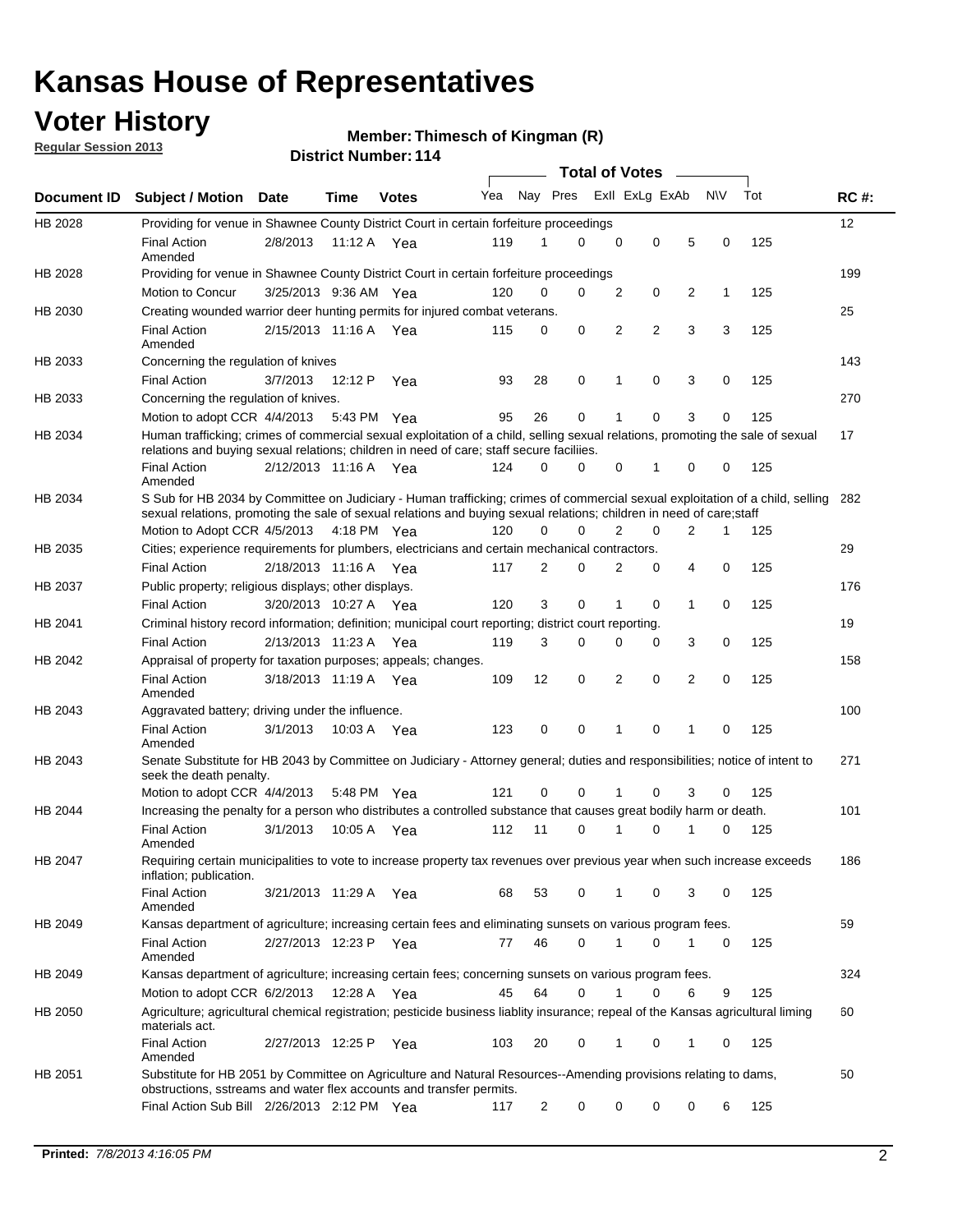## **Voter History**

**Regular Session 2013**

#### **Member: Thimesch of Kingman (R)**

|                    |                                                                                                                                                                                                                                                        |                       |             |              |     |             | <b>Total of Votes</b> |             |                |   |           |     |             |
|--------------------|--------------------------------------------------------------------------------------------------------------------------------------------------------------------------------------------------------------------------------------------------------|-----------------------|-------------|--------------|-----|-------------|-----------------------|-------------|----------------|---|-----------|-----|-------------|
| <b>Document ID</b> | <b>Subject / Motion Date</b>                                                                                                                                                                                                                           |                       | Time        | <b>Votes</b> | Yea | Nay Pres    |                       |             | Exll ExLg ExAb |   | <b>NV</b> | Tot | <b>RC#:</b> |
| HB 2028            | Providing for venue in Shawnee County District Court in certain forfeiture proceedings                                                                                                                                                                 |                       |             |              |     |             |                       |             |                |   |           |     | 12          |
|                    | <b>Final Action</b><br>Amended                                                                                                                                                                                                                         | 2/8/2013              | 11:12 A Yea |              | 119 | 1           | $\Omega$              | $\mathbf 0$ | 0              | 5 | 0         | 125 |             |
| HB 2028            | Providing for venue in Shawnee County District Court in certain forfeiture proceedings                                                                                                                                                                 |                       |             |              |     |             |                       |             |                |   |           |     | 199         |
|                    | Motion to Concur                                                                                                                                                                                                                                       | 3/25/2013 9:36 AM Yea |             |              | 120 | 0           | 0                     | 2           | 0              | 2 | 1         | 125 |             |
| HB 2030            | Creating wounded warrior deer hunting permits for injured combat veterans.<br><b>Final Action</b>                                                                                                                                                      | 2/15/2013 11:16 A     |             | Yea          | 115 | 0           | 0                     | 2           | 2              | 3 | 3         | 125 | 25          |
| HB 2033            | Amended<br>Concerning the regulation of knives                                                                                                                                                                                                         |                       |             |              |     |             |                       |             |                |   |           |     | 143         |
|                    | <b>Final Action</b>                                                                                                                                                                                                                                    | 3/7/2013              | 12:12 P     | Yea          | 93  | 28          | 0                     | 1           | 0              | 3 | 0         | 125 |             |
| HB 2033            | Concerning the regulation of knives.                                                                                                                                                                                                                   |                       |             |              |     |             |                       |             |                |   |           |     | 270         |
|                    | Motion to adopt CCR 4/4/2013                                                                                                                                                                                                                           |                       | 5:43 PM Yea |              | 95  | 26          | 0                     |             | 0              | 3 | 0         | 125 |             |
| HB 2034            | Human trafficking; crimes of commercial sexual exploitation of a child, selling sexual relations, promoting the sale of sexual<br>relations and buying sexual relations; children in need of care; staff secure faciliies.                             |                       |             |              |     |             |                       |             |                |   |           |     | 17          |
|                    | <b>Final Action</b><br>Amended                                                                                                                                                                                                                         | 2/12/2013 11:16 A Yea |             |              | 124 | $\Omega$    | 0                     | 0           | 1              | 0 | 0         | 125 |             |
| HB 2034            | S Sub for HB 2034 by Committee on Judiciary - Human trafficking; crimes of commercial sexual exploitation of a child, selling<br>sexual relations, promoting the sale of sexual relations and buying sexual relations; children in need of care; staff |                       |             |              |     |             |                       |             |                |   |           |     | 282         |
|                    | Motion to Adopt CCR 4/5/2013 4:18 PM Yea                                                                                                                                                                                                               |                       |             |              | 120 | $\Omega$    | 0                     | 2           | 0              | 2 | 1         | 125 |             |
| HB 2035            | Cities; experience requirements for plumbers, electricians and certain mechanical contractors.                                                                                                                                                         |                       |             |              |     |             |                       |             |                |   |           |     | 29          |
|                    | <b>Final Action</b>                                                                                                                                                                                                                                    | 2/18/2013 11:16 A     |             | Yea          | 117 | 2           | 0                     | 2           | 0              | 4 | 0         | 125 |             |
| HB 2037            | Public property; religious displays; other displays.                                                                                                                                                                                                   |                       |             |              |     |             |                       |             |                |   |           |     | 176         |
|                    | <b>Final Action</b>                                                                                                                                                                                                                                    | 3/20/2013 10:27 A     |             | Yea          | 120 | 3           | 0                     | 1           | 0              | 1 | 0         | 125 |             |
| HB 2041            | Criminal history record information; definition; municipal court reporting; district court reporting.                                                                                                                                                  |                       |             |              |     |             |                       |             |                |   |           |     | 19          |
|                    | <b>Final Action</b>                                                                                                                                                                                                                                    | 2/13/2013 11:23 A     |             | Yea          | 119 | 3           | 0                     | 0           | 0              | 3 | 0         | 125 |             |
| HB 2042            | Appraisal of property for taxation purposes; appeals; changes.                                                                                                                                                                                         |                       |             |              |     |             |                       |             |                |   |           |     | 158         |
|                    | <b>Final Action</b><br>Amended                                                                                                                                                                                                                         | 3/18/2013 11:19 A     |             | Yea          | 109 | 12          | 0                     | 2           | 0              | 2 | 0         | 125 |             |
| HB 2043            | Aggravated battery; driving under the influence.                                                                                                                                                                                                       |                       |             |              |     |             |                       |             |                |   |           |     | 100         |
|                    | <b>Final Action</b><br>Amended                                                                                                                                                                                                                         | 3/1/2013              | 10:03 A Yea |              | 123 | $\mathbf 0$ | 0                     | 1           | 0              |   | 0         | 125 |             |
| HB 2043            | Senate Substitute for HB 2043 by Committee on Judiciary - Attorney general; duties and responsibilities; notice of intent to<br>seek the death penalty.                                                                                                |                       |             |              |     |             |                       |             |                |   |           |     | 271         |
|                    | Motion to adopt CCR 4/4/2013                                                                                                                                                                                                                           |                       | 5:48 PM Yea |              | 121 | 0           | 0                     |             | 0              | 3 | 0         | 125 |             |
| HB 2044            | Increasing the penalty for a person who distributes a controlled substance that causes great bodily harm or death.                                                                                                                                     |                       |             |              |     |             |                       |             |                |   |           |     | 101         |
|                    | <b>Final Action</b><br>Amended                                                                                                                                                                                                                         | 3/1/2013              | 10:05 A     | Yea          | 112 | 11          | 0                     |             | 0              |   | 0         | 125 |             |
| HB 2047            | Requiring certain municipalities to vote to increase property tax revenues over previous year when such increase exceeds<br>inflation; publication.                                                                                                    |                       |             |              |     |             |                       |             |                |   |           |     | 186         |
|                    | <b>Final Action</b><br>Amended                                                                                                                                                                                                                         | 3/21/2013 11:29 A Yea |             |              | 68  | 53          | 0                     |             | 0              | 3 | 0         | 125 |             |
| HB 2049            | Kansas department of agriculture; increasing certain fees and eliminating sunsets on various program fees.                                                                                                                                             |                       |             |              |     |             |                       |             |                |   |           |     | 59          |
|                    | Final Action<br>Amended                                                                                                                                                                                                                                | 2/27/2013 12:23 P Yea |             |              | 77  | 46          | 0                     | 1           | 0              | 1 | 0         | 125 |             |
| HB 2049            | Kansas department of agriculture; increasing certain fees; concerning sunsets on various program fees.                                                                                                                                                 |                       |             |              |     |             |                       |             |                |   |           |     | 324         |
|                    | Motion to adopt CCR 6/2/2013                                                                                                                                                                                                                           |                       | 12:28 A     | Yea          | 45  | 64          | 0                     | 1           | 0              | 6 | 9         | 125 |             |
| HB 2050            | Agriculture; agricultural chemical registration; pesticide business liablity insurance; repeal of the Kansas agricultural liming<br>materials act.                                                                                                     |                       |             |              |     |             |                       |             |                |   |           |     | 60          |
|                    | <b>Final Action</b><br>Amended                                                                                                                                                                                                                         | 2/27/2013 12:25 P     |             | Yea          | 103 | 20          | 0                     | 1           | 0              | 1 | 0         | 125 |             |
| HB 2051            | Substitute for HB 2051 by Committee on Agriculture and Natural Resources--Amending provisions relating to dams,<br>obstructions, sstreams and water flex accounts and transfer permits.                                                                |                       |             |              |     |             |                       |             |                |   |           |     | 50          |
|                    | Final Action Sub Bill 2/26/2013 2:12 PM Yea                                                                                                                                                                                                            |                       |             |              | 117 | 2           | 0                     | 0           | 0              | 0 | 6         | 125 |             |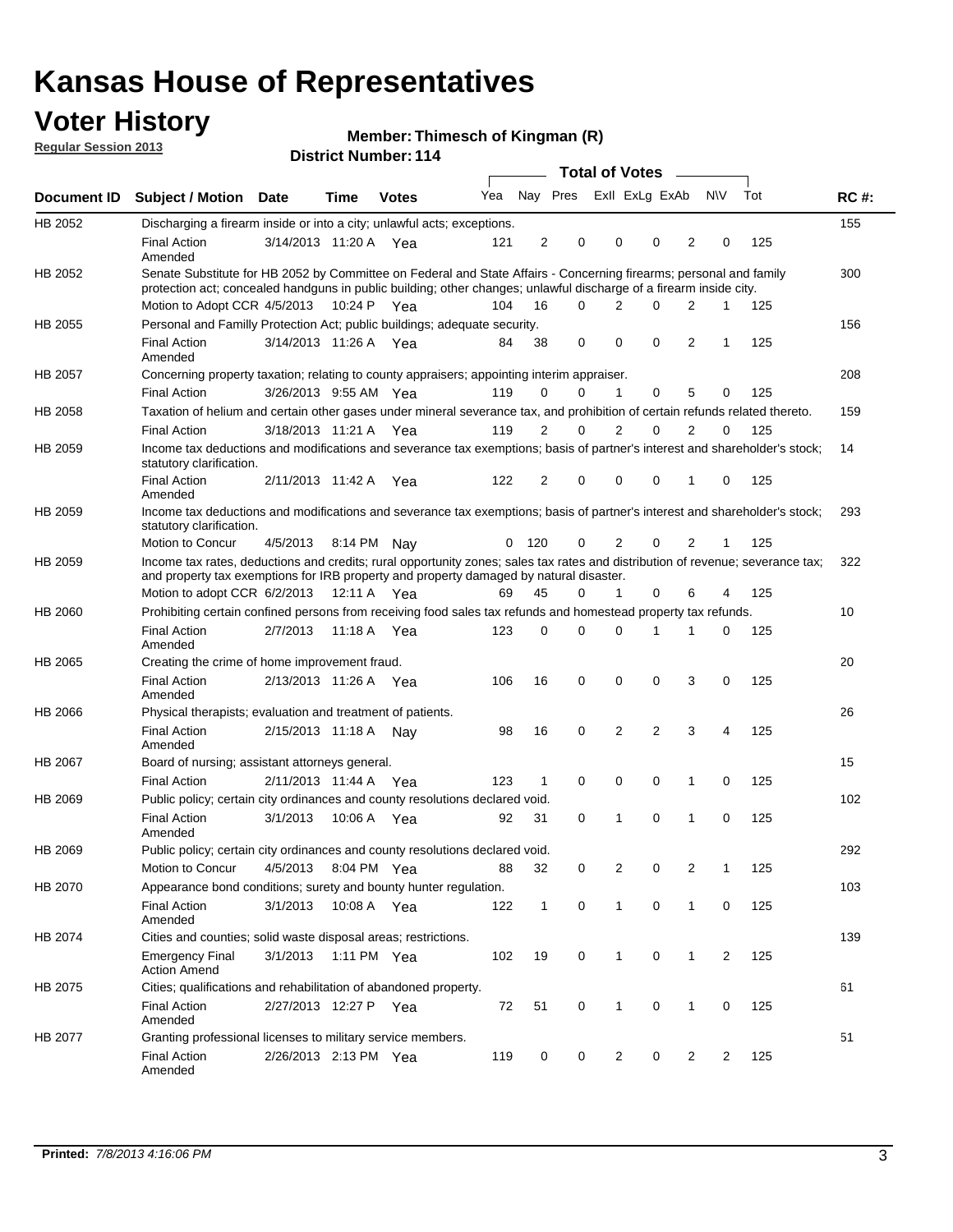## **Voter History**

**Member: Thimesch of Kingman (R)** 

**Regular Session 2013**

|             |                                                                                                                                                                                                                                          |                       |         |              |     |              |                               | <b>Total of Votes</b> |                |                |                |                |     |             |
|-------------|------------------------------------------------------------------------------------------------------------------------------------------------------------------------------------------------------------------------------------------|-----------------------|---------|--------------|-----|--------------|-------------------------------|-----------------------|----------------|----------------|----------------|----------------|-----|-------------|
| Document ID | <b>Subject / Motion Date</b>                                                                                                                                                                                                             |                       | Time    | <b>Votes</b> | Yea |              | Nay Pres ExII ExLg ExAb       |                       |                |                |                | N\V            | Tot | <b>RC#:</b> |
| HB 2052     | Discharging a firearm inside or into a city; unlawful acts; exceptions.                                                                                                                                                                  |                       |         |              |     |              |                               |                       |                |                |                |                |     | 155         |
|             | <b>Final Action</b><br>Amended                                                                                                                                                                                                           | 3/14/2013 11:20 A Yea |         |              | 121 |              | $\overline{2}$<br>$\mathbf 0$ |                       | $\Omega$       | 0              | 2              | 0              | 125 |             |
| HB 2052     | Senate Substitute for HB 2052 by Committee on Federal and State Affairs - Concerning firearms; personal and family<br>protection act; concealed handguns in public building; other changes; unlawful discharge of a firearm inside city. |                       |         |              |     |              |                               |                       |                |                |                |                |     | 300         |
|             | Motion to Adopt CCR 4/5/2013 10:24 P Yea                                                                                                                                                                                                 |                       |         |              | 104 | 16           | $\Omega$                      |                       | 2              | 0              | 2              | $\mathbf 1$    | 125 |             |
| HB 2055     | Personal and Familly Protection Act; public buildings; adequate security.                                                                                                                                                                |                       |         |              |     |              |                               |                       |                |                |                |                |     | 156         |
|             | <b>Final Action</b><br>Amended                                                                                                                                                                                                           | 3/14/2013 11:26 A Yea |         |              | 84  | 38           | 0                             |                       | 0              | $\mathbf 0$    | 2              | $\mathbf{1}$   | 125 |             |
| HB 2057     | Concerning property taxation; relating to county appraisers; appointing interim appraiser.                                                                                                                                               |                       |         |              |     |              |                               |                       |                |                |                |                |     | 208         |
|             | <b>Final Action</b>                                                                                                                                                                                                                      | 3/26/2013 9:55 AM Yea |         |              | 119 | 0            | 0                             |                       | $\mathbf{1}$   | 0              | 5              | 0              | 125 |             |
| HB 2058     | Taxation of helium and certain other gases under mineral severance tax, and prohibition of certain refunds related thereto.                                                                                                              |                       |         |              |     |              |                               |                       |                |                |                |                |     | 159         |
|             | <b>Final Action</b>                                                                                                                                                                                                                      | 3/18/2013 11:21 A Yea |         |              | 119 | 2            | 0                             |                       | 2              | $\Omega$       | $\overline{2}$ | $\Omega$       | 125 |             |
| HB 2059     | Income tax deductions and modifications and severance tax exemptions; basis of partner's interest and shareholder's stock;<br>statutory clarification.                                                                                   |                       |         |              |     |              |                               |                       |                |                |                |                |     | 14          |
|             | <b>Final Action</b><br>Amended                                                                                                                                                                                                           | 2/11/2013 11:42 A Yea |         |              | 122 | 2            | 0                             |                       | 0              | 0              | 1              | 0              | 125 |             |
| HB 2059     | Income tax deductions and modifications and severance tax exemptions; basis of partner's interest and shareholder's stock;<br>statutory clarification.                                                                                   |                       |         |              |     |              |                               |                       |                |                |                |                |     | 293         |
|             | Motion to Concur                                                                                                                                                                                                                         | 4/5/2013              |         | 8:14 PM Nav  | 0   | 120          | 0                             |                       | 2              | 0              | 2              | 1              | 125 |             |
| HB 2059     | Income tax rates, deductions and credits; rural opportunity zones; sales tax rates and distribution of revenue; severance tax;<br>and property tax exemptions for IRB property and property damaged by natural disaster.                 |                       |         |              |     |              |                               |                       |                |                |                |                |     | 322         |
|             | Motion to adopt CCR 6/2/2013                                                                                                                                                                                                             |                       |         | 12:11 A Yea  | 69  | 45           | 0                             |                       | 1              | 0              | 6              | 4              | 125 |             |
| HB 2060     | Prohibiting certain confined persons from receiving food sales tax refunds and homestead property tax refunds.                                                                                                                           |                       |         |              |     |              |                               |                       |                |                |                |                |     | 10          |
|             | <b>Final Action</b><br>Amended                                                                                                                                                                                                           | 2/7/2013              | 11:18 A | Yea          | 123 | 0            | $\Omega$                      |                       | 0              | 1              | 1              | 0              | 125 |             |
| HB 2065     | Creating the crime of home improvement fraud.                                                                                                                                                                                            |                       |         |              |     |              |                               |                       |                |                |                |                |     | 20          |
|             | <b>Final Action</b><br>Amended                                                                                                                                                                                                           | 2/13/2013 11:26 A Yea |         |              | 106 | 16           | $\mathbf 0$                   |                       | 0              | 0              | 3              | 0              | 125 |             |
| HB 2066     | Physical therapists; evaluation and treatment of patients.                                                                                                                                                                               |                       |         |              |     |              |                               |                       |                |                |                |                |     | 26          |
|             | <b>Final Action</b><br>Amended                                                                                                                                                                                                           | 2/15/2013 11:18 A Nay |         |              | 98  | 16           | $\mathbf 0$                   |                       | $\overline{2}$ | $\overline{2}$ | 3              | 4              | 125 |             |
| HB 2067     | Board of nursing; assistant attorneys general.                                                                                                                                                                                           |                       |         |              |     |              |                               |                       |                |                |                |                |     | 15          |
|             | <b>Final Action</b>                                                                                                                                                                                                                      | 2/11/2013 11:44 A Yea |         |              | 123 | 1            | $\mathbf 0$                   |                       | 0              | 0              | 1              | 0              | 125 |             |
| HB 2069     | Public policy; certain city ordinances and county resolutions declared void.                                                                                                                                                             |                       |         |              |     |              |                               |                       |                |                |                |                |     | 102         |
|             | <b>Final Action</b><br>Amended                                                                                                                                                                                                           | 3/1/2013              | 10:06 A | Yea          | 92  | 31           | $\mathbf 0$                   |                       | 1              | $\Omega$       | 1              | $\mathbf 0$    | 125 |             |
| HB 2069     | Public policy; certain city ordinances and county resolutions declared void.                                                                                                                                                             |                       |         |              |     |              |                               |                       |                |                |                |                |     | 292         |
|             | Motion to Concur                                                                                                                                                                                                                         | 4/5/2013              |         | 8:04 PM Yea  | 88  | 32           | 0                             |                       | $\overline{2}$ | 0              | 2              | 1              | 125 |             |
| HB 2070     | Appearance bond conditions; surety and bounty hunter regulation.                                                                                                                                                                         |                       |         |              |     |              |                               |                       |                |                |                |                |     | 103         |
|             | <b>Final Action</b><br>Amended                                                                                                                                                                                                           | 3/1/2013              |         | 10:08 A Yea  | 122 | $\mathbf{1}$ | $\mathbf 0$                   |                       | $\mathbf{1}$   | 0              | 1              | 0              | 125 |             |
| HB 2074     | Cities and counties; solid waste disposal areas; restrictions.                                                                                                                                                                           |                       |         |              |     |              |                               |                       |                |                |                |                |     | 139         |
|             | <b>Emergency Final</b><br><b>Action Amend</b>                                                                                                                                                                                            | 3/1/2013              |         | 1:11 PM Yea  | 102 | 19           | 0                             |                       | $\mathbf{1}$   | 0              | $\mathbf{1}$   | $\overline{2}$ | 125 |             |
| HB 2075     | Cities; qualifications and rehabilitation of abandoned property.                                                                                                                                                                         |                       |         |              |     |              |                               |                       |                |                |                |                |     | 61          |
|             | <b>Final Action</b><br>Amended                                                                                                                                                                                                           | 2/27/2013 12:27 P Yea |         |              | 72  | 51           | 0                             |                       | 1              | 0              | 1              | 0              | 125 |             |
| HB 2077     | Granting professional licenses to military service members.<br><b>Final Action</b><br>Amended                                                                                                                                            | 2/26/2013 2:13 PM Yea |         |              | 119 | $\mathbf 0$  | 0                             |                       | $\overline{2}$ | 0              | $\overline{2}$ | 2              | 125 | 51          |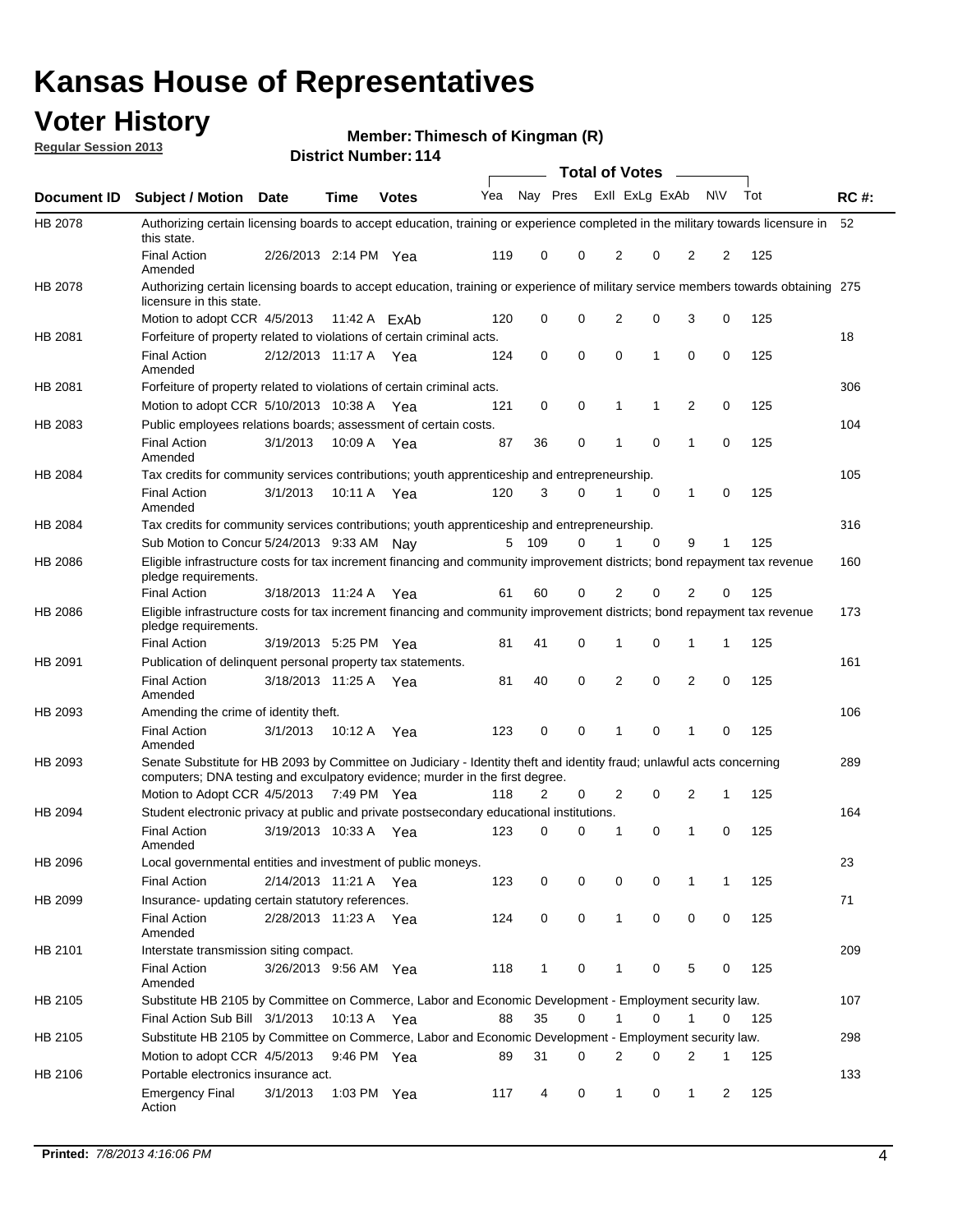## **Voter History**

**Member: Thimesch of Kingman (R)** 

**Regular Session 2013**

|                |                                                                                                                                                                                                       |                       |                | רו ו וסטווווטרו וטוש |                             |                |             | <b>Total of Votes</b> |   | $\sim$         |                |     |             |
|----------------|-------------------------------------------------------------------------------------------------------------------------------------------------------------------------------------------------------|-----------------------|----------------|----------------------|-----------------------------|----------------|-------------|-----------------------|---|----------------|----------------|-----|-------------|
| Document ID    | <b>Subject / Motion Date</b>                                                                                                                                                                          |                       | <b>Time</b>    | <b>Votes</b>         | Yea Nay Pres ExII ExLg ExAb |                |             |                       |   |                | <b>NV</b>      | Tot | <b>RC#:</b> |
| <b>HB 2078</b> | Authorizing certain licensing boards to accept education, training or experience completed in the military towards licensure in<br>this state.                                                        |                       |                |                      |                             |                |             |                       |   |                |                |     | 52          |
|                | <b>Final Action</b><br>Amended                                                                                                                                                                        | 2/26/2013 2:14 PM Yea |                |                      | 119                         | 0              | 0           | 2                     | 0 | 2              | 2              | 125 |             |
| HB 2078        | Authorizing certain licensing boards to accept education, training or experience of military service members towards obtaining 275<br>licensure in this state.                                        |                       |                |                      |                             |                |             |                       |   |                |                |     |             |
|                | Motion to adopt CCR 4/5/2013                                                                                                                                                                          |                       | 11:42 A $FxAb$ |                      | 120                         | 0              | 0           | $\overline{2}$        | 0 | 3              | 0              | 125 |             |
| HB 2081        | Forfeiture of property related to violations of certain criminal acts.                                                                                                                                |                       |                |                      |                             |                |             |                       |   |                |                |     | 18          |
|                | <b>Final Action</b><br>Amended                                                                                                                                                                        | 2/12/2013 11:17 A Yea |                |                      | 124                         | 0              | $\mathbf 0$ | $\Omega$              | 1 | 0              | $\mathbf 0$    | 125 |             |
| HB 2081        | Forfeiture of property related to violations of certain criminal acts.                                                                                                                                |                       |                |                      |                             |                |             |                       |   |                |                |     | 306         |
|                | Motion to adopt CCR 5/10/2013 10:38 A                                                                                                                                                                 |                       |                | Yea                  | 121                         | 0              | 0           | 1                     | 1 | 2              | 0              | 125 |             |
| HB 2083        | Public employees relations boards; assessment of certain costs.                                                                                                                                       |                       |                |                      |                             |                |             |                       |   |                |                |     | 104         |
|                | <b>Final Action</b><br>Amended                                                                                                                                                                        | 3/1/2013              | 10:09 A        | Yea                  | 87                          | 36             | 0           | 1                     | 0 | $\mathbf 1$    | $\mathbf 0$    | 125 |             |
| HB 2084        | Tax credits for community services contributions; youth apprenticeship and entrepreneurship.                                                                                                          |                       |                |                      |                             |                |             |                       |   |                |                |     | 105         |
|                | <b>Final Action</b><br>Amended                                                                                                                                                                        | 3/1/2013              | 10:11 A        | Yea                  | 120                         | 3              | 0           | 1                     | 0 | $\mathbf{1}$   | 0              | 125 |             |
| HB 2084        | Tax credits for community services contributions; youth apprenticeship and entrepreneurship.                                                                                                          |                       |                |                      |                             |                |             |                       |   |                |                |     | 316         |
|                | Sub Motion to Concur 5/24/2013 9:33 AM Nav                                                                                                                                                            |                       |                |                      |                             | 5 109          | 0           |                       | 0 | 9              | 1              | 125 |             |
| HB 2086        | Eligible infrastructure costs for tax increment financing and community improvement districts; bond repayment tax revenue<br>pledge requirements.                                                     |                       |                |                      |                             |                |             |                       |   |                |                |     | 160         |
|                | <b>Final Action</b>                                                                                                                                                                                   | 3/18/2013 11:24 A     |                | Yea                  | 61                          | 60             | 0           | $\overline{2}$        | 0 | $\overline{2}$ | 0              | 125 |             |
| HB 2086        | Eligible infrastructure costs for tax increment financing and community improvement districts; bond repayment tax revenue<br>pledge requirements.                                                     |                       |                |                      |                             |                |             |                       |   |                |                |     | 173         |
|                | <b>Final Action</b>                                                                                                                                                                                   | 3/19/2013 5:25 PM Yea |                |                      | 81                          | 41             | 0           | 1                     | 0 | 1              | $\mathbf{1}$   | 125 |             |
| HB 2091        | Publication of delinguent personal property tax statements.                                                                                                                                           |                       |                |                      |                             |                |             |                       |   |                |                |     | 161         |
|                | <b>Final Action</b><br>Amended                                                                                                                                                                        | 3/18/2013 11:25 A     |                | Yea                  | 81                          | 40             | 0           | 2                     | 0 | $\overline{2}$ | 0              | 125 |             |
| HB 2093        | Amending the crime of identity theft.                                                                                                                                                                 |                       |                |                      |                             |                |             |                       |   |                |                |     | 106         |
|                | <b>Final Action</b><br>Amended                                                                                                                                                                        | 3/1/2013              | 10:12 A        | Yea                  | 123                         | 0              | 0           | 1                     | 0 | 1              | $\Omega$       | 125 |             |
| HB 2093        | Senate Substitute for HB 2093 by Committee on Judiciary - Identity theft and identity fraud; unlawful acts concerning<br>computers; DNA testing and exculpatory evidence; murder in the first degree. |                       |                |                      |                             |                |             |                       |   |                |                |     | 289         |
|                | Motion to Adopt CCR 4/5/2013 7:49 PM Yea                                                                                                                                                              |                       |                |                      | 118                         | $\overline{2}$ | 0           | 2                     | 0 | 2              | 1              | 125 |             |
| HB 2094        | Student electronic privacy at public and private postsecondary educational institutions.                                                                                                              |                       |                |                      |                             |                |             |                       |   |                |                |     | 164         |
|                | <b>Final Action</b><br>Amended                                                                                                                                                                        | 3/19/2013 10:33 A     |                | Yea                  | 123                         | 0              | 0           | 1                     | 0 | 1              | 0              | 125 |             |
| HB 2096        | Local governmental entities and investment of public moneys.<br><b>Final Action</b>                                                                                                                   | 2/14/2013 11:21 A Yea |                |                      | 123                         | 0              | 0           | 0                     | 0 | 1              | 1              | 125 | 23          |
| HB 2099        | Insurance- updating certain statutory references.                                                                                                                                                     |                       |                |                      |                             |                |             |                       |   |                |                |     | 71          |
|                | <b>Final Action</b><br>Amended                                                                                                                                                                        | 2/28/2013 11:23 A     |                | Yea                  | 124                         | 0              | $\mathbf 0$ | 1                     | 0 | 0              | 0              | 125 |             |
| HB 2101        | Interstate transmission siting compact.                                                                                                                                                               |                       |                |                      |                             |                |             |                       |   |                |                |     | 209         |
|                | <b>Final Action</b><br>Amended                                                                                                                                                                        | 3/26/2013 9:56 AM Yea |                |                      | 118                         | $\mathbf{1}$   | 0           | 1                     | 0 | 5              | 0              | 125 |             |
| HB 2105        | Substitute HB 2105 by Committee on Commerce, Labor and Economic Development - Employment security law.                                                                                                |                       |                |                      |                             |                |             |                       |   |                |                |     | 107         |
|                | Final Action Sub Bill 3/1/2013                                                                                                                                                                        |                       | 10:13 A Yea    |                      | 88                          | 35             | 0           |                       | 0 | 1              | 0              | 125 |             |
| HB 2105        | Substitute HB 2105 by Committee on Commerce, Labor and Economic Development - Employment security law.                                                                                                |                       |                |                      |                             |                |             |                       |   |                |                |     | 298         |
|                | Motion to adopt CCR 4/5/2013                                                                                                                                                                          |                       | 9:46 PM Yea    |                      | 89                          | 31             | 0           | 2                     | 0 | 2              | 1              | 125 |             |
| HB 2106        | Portable electronics insurance act.                                                                                                                                                                   |                       |                |                      |                             |                |             |                       |   |                |                |     | 133         |
|                | <b>Emergency Final</b><br>Action                                                                                                                                                                      | 3/1/2013              | 1:03 PM $Yea$  |                      | 117                         | 4              | 0           | $\mathbf{1}$          | 0 | 1              | $\overline{2}$ | 125 |             |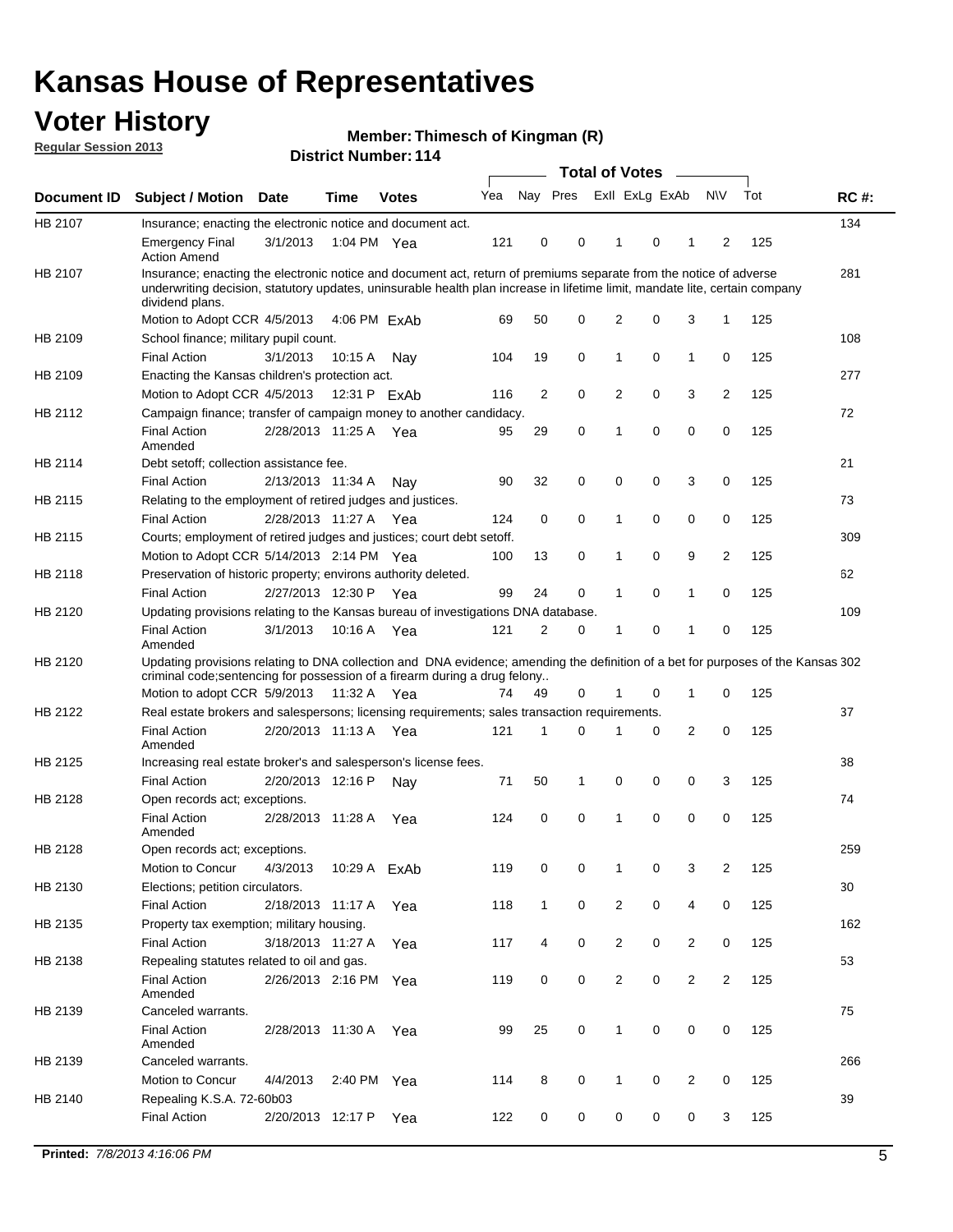## **Voter History**

**Member: Thimesch of Kingman (R)** 

**Regular Session 2013**

|             |                                                                                                                                                                                                                                                                      |                       |                       |              |     |                | <b>Total of Votes</b> |                |             | $\overline{\phantom{0}}$ |                         |     |             |
|-------------|----------------------------------------------------------------------------------------------------------------------------------------------------------------------------------------------------------------------------------------------------------------------|-----------------------|-----------------------|--------------|-----|----------------|-----------------------|----------------|-------------|--------------------------|-------------------------|-----|-------------|
| Document ID | <b>Subject / Motion Date</b>                                                                                                                                                                                                                                         |                       | Time                  | <b>Votes</b> | Yea | Nay Pres       |                       | Exll ExLg ExAb |             |                          | <b>NV</b>               | Tot | <b>RC#:</b> |
| HB 2107     | Insurance; enacting the electronic notice and document act.                                                                                                                                                                                                          |                       |                       |              |     |                |                       |                |             |                          |                         |     | 134         |
|             | <b>Emergency Final</b><br><b>Action Amend</b>                                                                                                                                                                                                                        | 3/1/2013              | 1:04 PM Yea           |              | 121 | 0              | 0                     | 1              | 0           | 1                        | 2                       | 125 |             |
| HB 2107     | Insurance; enacting the electronic notice and document act, return of premiums separate from the notice of adverse<br>underwriting decision, statutory updates, uninsurable health plan increase in lifetime limit, mandate lite, certain company<br>dividend plans. |                       |                       |              |     |                |                       |                |             |                          |                         |     | 281         |
|             | Motion to Adopt CCR 4/5/2013                                                                                                                                                                                                                                         |                       |                       | 4:06 PM ExAb | 69  | 50             | 0                     | 2              | 0           | 3                        | 1                       | 125 |             |
| HB 2109     | School finance; military pupil count.                                                                                                                                                                                                                                |                       |                       |              |     |                |                       |                |             |                          |                         |     | 108         |
|             | <b>Final Action</b>                                                                                                                                                                                                                                                  | 3/1/2013              | 10:15 A               | Nay          | 104 | 19             | 0                     | 1              | 0           | $\mathbf{1}$             | 0                       | 125 |             |
| HB 2109     | Enacting the Kansas children's protection act.                                                                                                                                                                                                                       |                       |                       |              |     |                |                       |                |             |                          |                         |     | 277         |
|             | Motion to Adopt CCR 4/5/2013                                                                                                                                                                                                                                         |                       | 12:31 P ExAb          |              | 116 | $\overline{2}$ | 0                     | 2              | 0           | 3                        | $\overline{2}$          | 125 |             |
| HB 2112     | Campaign finance; transfer of campaign money to another candidacy.                                                                                                                                                                                                   |                       |                       |              |     |                |                       |                |             |                          |                         |     | 72          |
|             | <b>Final Action</b><br>Amended                                                                                                                                                                                                                                       |                       | 2/28/2013 11:25 A Yea |              | 95  | 29             | 0                     | 1              | 0           | 0                        | 0                       | 125 |             |
| HB 2114     | Debt setoff; collection assistance fee.                                                                                                                                                                                                                              |                       |                       |              |     |                |                       |                |             |                          |                         |     | 21          |
|             | <b>Final Action</b>                                                                                                                                                                                                                                                  | 2/13/2013 11:34 A     |                       | Nay          | 90  | 32             | 0                     | 0              | 0           | 3                        | 0                       | 125 |             |
| HB 2115     | Relating to the employment of retired judges and justices.                                                                                                                                                                                                           |                       |                       |              |     |                |                       |                |             |                          |                         |     | 73          |
|             | <b>Final Action</b>                                                                                                                                                                                                                                                  | 2/28/2013 11:27 A     |                       | Yea          | 124 | 0              | 0                     | 1              | 0           | 0                        | 0                       | 125 |             |
| HB 2115     | Courts; employment of retired judges and justices; court debt setoff.                                                                                                                                                                                                |                       |                       |              |     |                |                       |                |             |                          |                         |     | 309         |
|             | Motion to Adopt CCR 5/14/2013 2:14 PM Yea                                                                                                                                                                                                                            |                       |                       |              | 100 | 13             | 0                     | 1              | 0           | 9                        | 2                       | 125 |             |
| HB 2118     | Preservation of historic property; environs authority deleted.                                                                                                                                                                                                       |                       |                       |              |     |                |                       |                |             |                          |                         |     | 62          |
|             | <b>Final Action</b>                                                                                                                                                                                                                                                  |                       | 2/27/2013 12:30 P     | Yea          | 99  | 24             | 0                     | 1              | 0           | 1                        | 0                       | 125 |             |
| HB 2120     | Updating provisions relating to the Kansas bureau of investigations DNA database.                                                                                                                                                                                    |                       |                       |              |     |                |                       |                |             |                          |                         |     | 109         |
|             | <b>Final Action</b><br>Amended                                                                                                                                                                                                                                       | 3/1/2013              | 10:16 A               | Yea          | 121 | 2              | 0                     | 1              | 0           | 1                        | 0                       | 125 |             |
| HB 2120     | Updating provisions relating to DNA collection and DNA evidence; amending the definition of a bet for purposes of the Kansas 302<br>criminal code; sentencing for possession of a firearm during a drug felony<br>Motion to adopt CCR 5/9/2013 11:32 A Yea           |                       |                       |              | 74  | 49             | 0                     |                | 0           | 1                        | 0                       | 125 |             |
| HB 2122     | Real estate brokers and salespersons; licensing requirements; sales transaction requirements.                                                                                                                                                                        |                       |                       |              |     |                |                       |                |             |                          |                         |     | 37          |
|             |                                                                                                                                                                                                                                                                      |                       |                       |              | 121 | 1              | $\Omega$              |                | 0           | $\overline{2}$           | 0                       |     |             |
|             | <b>Final Action</b><br>Amended                                                                                                                                                                                                                                       | 2/20/2013 11:13 A Yea |                       |              |     |                |                       |                |             |                          |                         | 125 |             |
| HB 2125     | Increasing real estate broker's and salesperson's license fees.                                                                                                                                                                                                      |                       |                       |              |     |                |                       |                |             |                          |                         |     | 38          |
|             | <b>Final Action</b>                                                                                                                                                                                                                                                  | 2/20/2013 12:16 P     |                       | Nay          | 71  | 50             | 1                     | 0              | 0           | 0                        | 3                       | 125 |             |
| HB 2128     | Open records act; exceptions.<br><b>Final Action</b><br>Amended                                                                                                                                                                                                      | 2/28/2013 11:28 A     |                       | Yea          | 124 | 0              | 0                     | 1              | 0           | 0                        | 0                       | 125 | 74          |
| HB 2128     | Open records act; exceptions.                                                                                                                                                                                                                                        |                       |                       |              |     |                |                       |                |             |                          |                         |     | 259         |
|             | Motion to Concur                                                                                                                                                                                                                                                     | 4/3/2013              |                       | 10:29 A ExAb | 119 | 0              | 0                     | 1              | 0           | 3                        | $\overline{\mathbf{c}}$ | 125 |             |
| HB 2130     | Elections; petition circulators.                                                                                                                                                                                                                                     |                       |                       |              |     |                |                       |                |             |                          |                         |     | 30          |
|             | <b>Final Action</b>                                                                                                                                                                                                                                                  | 2/18/2013 11:17 A     |                       | Yea          | 118 | $\mathbf{1}$   | 0                     | $\overline{c}$ | 0           | 4                        | 0                       | 125 |             |
| HB 2135     | Property tax exemption; military housing.                                                                                                                                                                                                                            |                       |                       |              |     |                |                       |                |             |                          |                         |     | 162         |
|             | <b>Final Action</b>                                                                                                                                                                                                                                                  | 3/18/2013 11:27 A     |                       | Yea          | 117 | 4              | 0                     | $\overline{2}$ | 0           | 2                        | 0                       | 125 |             |
| HB 2138     | Repealing statutes related to oil and gas.                                                                                                                                                                                                                           |                       |                       |              |     |                |                       |                |             |                          |                         |     | 53          |
|             | Final Action<br>Amended                                                                                                                                                                                                                                              | 2/26/2013 2:16 PM Yea |                       |              | 119 | 0              | 0                     | $\overline{2}$ | $\mathbf 0$ | $\overline{2}$           | $\overline{2}$          | 125 |             |
| HB 2139     | Canceled warrants.                                                                                                                                                                                                                                                   |                       |                       |              |     |                |                       |                |             |                          |                         |     | 75          |
|             | <b>Final Action</b><br>Amended                                                                                                                                                                                                                                       |                       | 2/28/2013 11:30 A     | Yea          | 99  | 25             | 0                     | $\mathbf{1}$   | 0           | 0                        | 0                       | 125 |             |
| HB 2139     | Canceled warrants.                                                                                                                                                                                                                                                   |                       |                       |              |     |                |                       |                |             |                          |                         |     | 266         |
|             | Motion to Concur                                                                                                                                                                                                                                                     | 4/4/2013              | 2:40 PM               | Yea          | 114 | 8              | 0                     | 1              | 0           | 2                        | 0                       | 125 |             |
| HB 2140     | Repealing K.S.A. 72-60b03                                                                                                                                                                                                                                            |                       |                       |              |     |                |                       |                |             |                          |                         |     | 39          |
|             | <b>Final Action</b>                                                                                                                                                                                                                                                  |                       | 2/20/2013 12:17 P     | Yea          | 122 | 0              | 0                     | 0              | 0           | 0                        | 3                       | 125 |             |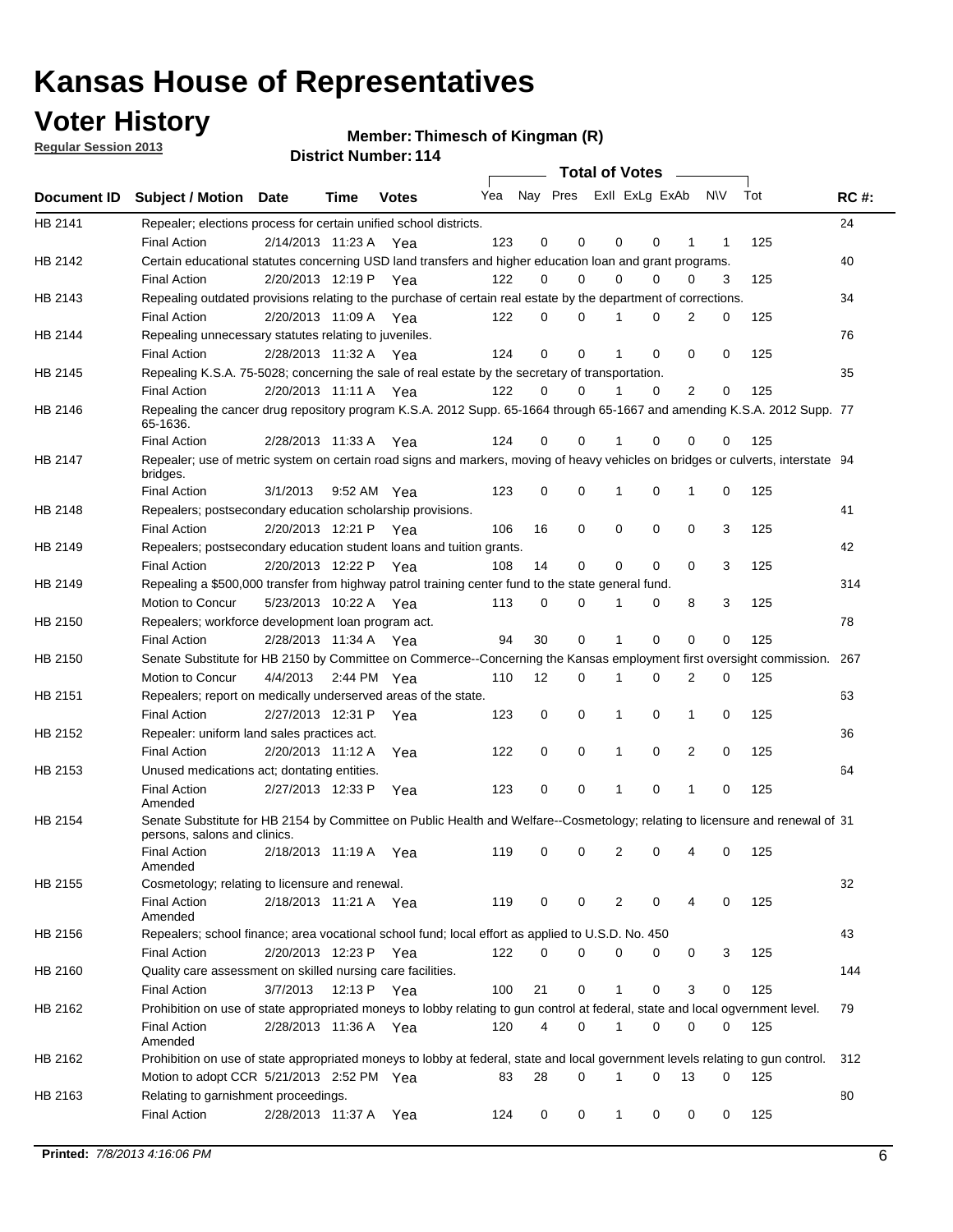## **Voter History**

**Member: Thimesch of Kingman (R)** 

**Regular Session 2013**

|             |                                                                                                                                              |          |                       |              |     |             | <b>Total of Votes</b>   |              |   | <b>Contract Contract</b> |           |     |             |
|-------------|----------------------------------------------------------------------------------------------------------------------------------------------|----------|-----------------------|--------------|-----|-------------|-------------------------|--------------|---|--------------------------|-----------|-----|-------------|
| Document ID | <b>Subject / Motion Date</b>                                                                                                                 |          | Time                  | <b>Votes</b> | Yea |             | Nay Pres ExII ExLg ExAb |              |   |                          | <b>NV</b> | Tot | <b>RC#:</b> |
| HB 2141     | Repealer; elections process for certain unified school districts.                                                                            |          |                       |              |     |             |                         |              |   |                          |           |     | 24          |
|             | <b>Final Action</b>                                                                                                                          |          | 2/14/2013 11:23 A Yea |              | 123 | 0           | 0                       | 0            | 0 | 1                        | 1         | 125 |             |
| HB 2142     | Certain educational statutes concerning USD land transfers and higher education loan and grant programs.                                     |          |                       |              |     |             |                         |              |   |                          |           |     | 40          |
|             | <b>Final Action</b>                                                                                                                          |          | 2/20/2013 12:19 P Yea |              | 122 | 0           | 0                       | $\Omega$     | 0 | $\Omega$                 | 3         | 125 |             |
| HB 2143     | Repealing outdated provisions relating to the purchase of certain real estate by the department of corrections.                              |          |                       |              |     |             |                         |              |   |                          |           |     | 34          |
|             | <b>Final Action</b>                                                                                                                          |          | 2/20/2013 11:09 A Yea |              | 122 | 0           | 0                       | 1            | 0 | $\overline{2}$           | 0         | 125 |             |
| HB 2144     | Repealing unnecessary statutes relating to juveniles.                                                                                        |          |                       |              |     |             |                         |              |   |                          |           |     | 76          |
|             | <b>Final Action</b>                                                                                                                          |          | 2/28/2013 11:32 A Yea |              | 124 | $\mathbf 0$ | 0                       | 1            | 0 | 0                        | 0         | 125 |             |
| HB 2145     | Repealing K.S.A. 75-5028; concerning the sale of real estate by the secretary of transportation.                                             |          |                       |              |     |             |                         |              |   |                          |           |     | 35          |
|             | <b>Final Action</b>                                                                                                                          |          | 2/20/2013 11:11 A Yea |              | 122 | 0           | 0                       | 1            | 0 | 2                        | 0         | 125 |             |
| HB 2146     | Repealing the cancer drug repository program K.S.A. 2012 Supp. 65-1664 through 65-1667 and amending K.S.A. 2012 Supp. 77<br>65-1636.         |          |                       |              |     |             |                         |              |   |                          |           |     |             |
|             | <b>Final Action</b>                                                                                                                          |          | 2/28/2013 11:33 A     | Yea          | 124 | 0           | 0                       | 1            | 0 | 0                        | 0         | 125 |             |
| HB 2147     | Repealer; use of metric system on certain road signs and markers, moving of heavy vehicles on bridges or culverts, interstate 94<br>bridges. |          |                       |              |     |             |                         |              |   |                          |           |     |             |
|             | <b>Final Action</b>                                                                                                                          | 3/1/2013 |                       | 9:52 AM Yea  | 123 | $\mathbf 0$ | 0                       |              | 0 | 1                        | 0         | 125 |             |
| HB 2148     | Repealers; postsecondary education scholarship provisions.                                                                                   |          |                       |              |     |             |                         |              |   |                          |           |     | 41          |
|             | <b>Final Action</b>                                                                                                                          |          | 2/20/2013 12:21 P     | Yea          | 106 | 16          | 0                       | $\mathbf 0$  | 0 | $\mathbf 0$              | 3         | 125 |             |
| HB 2149     | Repealers; postsecondary education student loans and tuition grants.                                                                         |          |                       |              |     |             |                         |              |   |                          |           |     | 42          |
|             | <b>Final Action</b>                                                                                                                          |          | 2/20/2013 12:22 P     | Yea          | 108 | 14          | 0                       | 0            | 0 | $\Omega$                 | 3         | 125 |             |
| HB 2149     | Repealing a \$500,000 transfer from highway patrol training center fund to the state general fund.                                           |          |                       |              |     |             |                         |              |   |                          |           |     | 314         |
|             | Motion to Concur                                                                                                                             |          | 5/23/2013 10:22 A Yea |              | 113 | 0           | 0                       |              | 0 | 8                        | 3         | 125 |             |
| HB 2150     | Repealers; workforce development loan program act.                                                                                           |          |                       |              |     |             |                         |              |   |                          |           |     | 78          |
|             | <b>Final Action</b>                                                                                                                          |          | 2/28/2013 11:34 A Yea |              | 94  | 30          | 0                       | 1            | 0 | 0                        | 0         | 125 |             |
| HB 2150     | Senate Substitute for HB 2150 by Committee on Commerce--Concerning the Kansas employment first oversight commission.                         |          |                       |              |     |             |                         |              |   |                          |           |     | 267         |
|             | Motion to Concur                                                                                                                             |          | 4/4/2013 2:44 PM Yea  |              | 110 | 12          | 0                       | 1            | 0 | 2                        | 0         | 125 |             |
| HB 2151     | Repealers; report on medically underserved areas of the state.                                                                               |          |                       |              |     |             |                         |              |   |                          |           |     | 63          |
|             | <b>Final Action</b>                                                                                                                          |          | 2/27/2013 12:31 P     | Yea          | 123 | 0           | 0                       | 1            | 0 | 1                        | 0         | 125 |             |
| HB 2152     | Repealer: uniform land sales practices act.                                                                                                  |          |                       |              |     |             |                         |              |   |                          |           |     | 36          |
|             | <b>Final Action</b>                                                                                                                          |          | 2/20/2013 11:12 A     | Yea          | 122 | 0           | 0                       | 1            | 0 | 2                        | 0         | 125 |             |
| HB 2153     | Unused medications act; dontating entities.                                                                                                  |          |                       |              |     |             |                         |              |   |                          |           |     | 64          |
|             | <b>Final Action</b><br>Amended                                                                                                               |          | 2/27/2013 12:33 P     | Yea          | 123 | 0           | 0                       | 1            | 0 | $\mathbf{1}$             | 0         | 125 |             |
| HB 2154     | Senate Substitute for HB 2154 by Committee on Public Health and Welfare--Cosmetology; relating to licensure and renewal of 31                |          |                       |              |     |             |                         |              |   |                          |           |     |             |
|             | persons, salons and clinics.<br><b>Final Action</b><br>Amended                                                                               |          | 2/18/2013 11:19 A     | Yea          | 119 | 0           | 0                       | 2            | 0 | 4                        | 0         | 125 |             |
| HB 2155     | Cosmetology; relating to licensure and renewal.                                                                                              |          |                       |              |     |             |                         |              |   |                          |           |     | 32          |
|             | <b>Final Action</b><br>Amended                                                                                                               |          | 2/18/2013 11:21 A Yea |              | 119 | 0           | 0                       | 2            | 0 |                          | 0         | 125 |             |
| HB 2156     | Repealers; school finance; area vocational school fund; local effort as applied to U.S.D. No. 450                                            |          |                       |              |     |             |                         |              |   |                          |           |     | 43          |
|             | <b>Final Action</b>                                                                                                                          |          | 2/20/2013 12:23 P     | Yea          | 122 | 0           | 0                       | 0            | 0 | 0                        | 3         | 125 |             |
| HB 2160     | Quality care assessment on skilled nursing care facilities.                                                                                  |          |                       |              |     |             |                         |              |   |                          |           |     | 144         |
|             | <b>Final Action</b>                                                                                                                          | 3/7/2013 |                       | 12:13 P Yea  | 100 | 21          | 0                       | 1            | 0 | 3                        | 0         | 125 |             |
| HB 2162     | Prohibition on use of state appropriated moneys to lobby relating to gun control at federal, state and local ogvernment level.               |          |                       |              |     |             |                         |              |   |                          |           |     | 79          |
|             | <b>Final Action</b><br>Amended                                                                                                               |          | 2/28/2013 11:36 A Yea |              | 120 | 4           | 0                       | 1            | 0 | 0                        | 0         | 125 |             |
| HB 2162     | Prohibition on use of state appropriated moneys to lobby at federal, state and local government levels relating to gun control.              |          |                       |              |     |             |                         |              |   |                          |           |     | 312         |
|             | Motion to adopt CCR 5/21/2013 2:52 PM Yea                                                                                                    |          |                       |              | 83  | 28          | 0                       |              | 0 | 13                       | 0         | 125 |             |
| HB 2163     | Relating to garnishment proceedings.                                                                                                         |          |                       |              |     |             |                         |              |   |                          |           |     | 80          |
|             | <b>Final Action</b>                                                                                                                          |          | 2/28/2013 11:37 A Yea |              | 124 | 0           | 0                       | $\mathbf{1}$ | 0 | 0                        | 0         | 125 |             |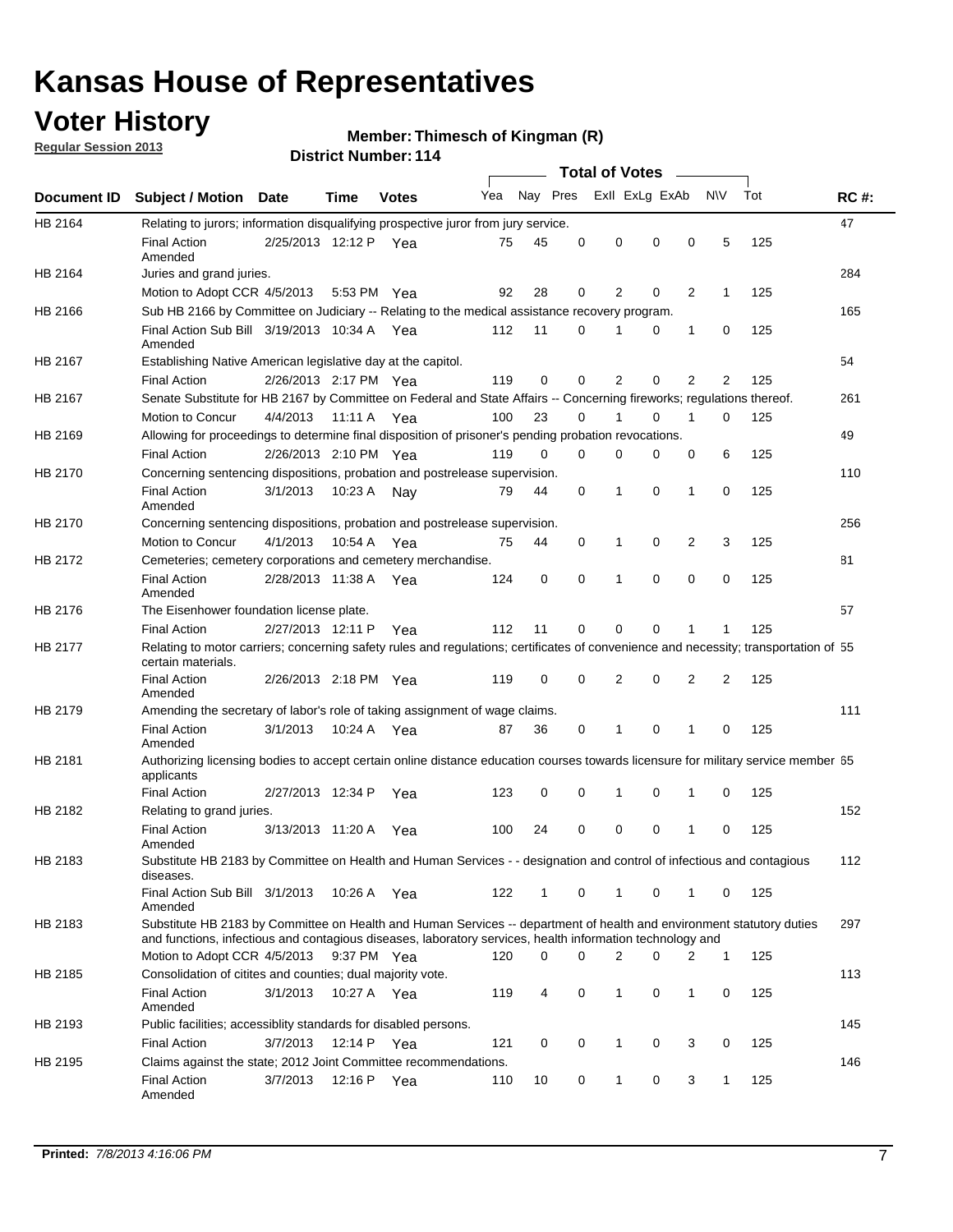## **Voter History**

**Regular Session 2013**

#### **Member: Thimesch of Kingman (R)**

|                    |                                                                                                                                                                                                                                    |                       |         | <b>DISTRICT NUMBER: 114</b> |     |              |          |                                         |          |              |                |     |             |
|--------------------|------------------------------------------------------------------------------------------------------------------------------------------------------------------------------------------------------------------------------------|-----------------------|---------|-----------------------------|-----|--------------|----------|-----------------------------------------|----------|--------------|----------------|-----|-------------|
| <b>Document ID</b> | <b>Subject / Motion</b>                                                                                                                                                                                                            | <b>Date</b>           | Time    | <b>Votes</b>                | Yea | Nay Pres     |          | <b>Total of Votes</b><br>Exll ExLg ExAb |          | $\sim$       | <b>NV</b>      | Tot | <b>RC#:</b> |
| HB 2164            | Relating to jurors; information disqualifying prospective juror from jury service.                                                                                                                                                 |                       |         |                             |     |              |          |                                         |          |              |                |     | 47          |
|                    | <b>Final Action</b><br>Amended                                                                                                                                                                                                     | 2/25/2013 12:12 P Yea |         |                             | 75  | 45           | 0        | 0                                       | 0        | 0            | 5              | 125 |             |
| HB 2164            | Juries and grand juries.                                                                                                                                                                                                           |                       |         |                             |     |              |          |                                         |          |              |                |     | 284         |
|                    | Motion to Adopt CCR 4/5/2013                                                                                                                                                                                                       |                       | 5:53 PM | Yea                         | 92  | 28           | 0        | 2                                       | 0        | 2            | $\mathbf{1}$   | 125 |             |
| HB 2166            | Sub HB 2166 by Committee on Judiciary -- Relating to the medical assistance recovery program.                                                                                                                                      |                       |         |                             |     |              |          |                                         |          |              |                |     | 165         |
|                    | Final Action Sub Bill 3/19/2013 10:34 A Yea<br>Amended                                                                                                                                                                             |                       |         |                             | 112 | 11           | 0        | 1                                       | 0        | $\mathbf{1}$ | 0              | 125 |             |
| HB 2167            | Establishing Native American legislative day at the capitol.                                                                                                                                                                       |                       |         |                             |     |              |          |                                         |          |              |                |     | 54          |
|                    | <b>Final Action</b>                                                                                                                                                                                                                | 2/26/2013 2:17 PM Yea |         |                             | 119 | 0            | 0        | 2                                       | 0        | 2            | 2              | 125 |             |
| HB 2167            | Senate Substitute for HB 2167 by Committee on Federal and State Affairs -- Concerning fireworks; regulations thereof.                                                                                                              |                       |         |                             |     |              |          |                                         |          |              |                |     | 261         |
|                    | Motion to Concur                                                                                                                                                                                                                   | 4/4/2013              | 11:11 A | - Yea                       | 100 | 23           | 0        | 1                                       | 0        | 1            | 0              | 125 |             |
| HB 2169            | Allowing for proceedings to determine final disposition of prisoner's pending probation revocations.                                                                                                                               |                       |         |                             |     |              |          |                                         |          |              |                |     | 49          |
|                    | <b>Final Action</b>                                                                                                                                                                                                                | 2/26/2013 2:10 PM Yea |         |                             | 119 | 0            | 0        | 0                                       | 0        | 0            | 6              | 125 |             |
| HB 2170            | Concerning sentencing dispositions, probation and postrelease supervision.                                                                                                                                                         |                       |         |                             |     |              |          |                                         |          |              |                |     | 110         |
|                    | <b>Final Action</b><br>Amended                                                                                                                                                                                                     | 3/1/2013              |         | 10:23 A Nay                 | 79  | 44           | 0        | 1                                       | 0        | 1            | 0              | 125 |             |
| HB 2170            | Concerning sentencing dispositions, probation and postrelease supervision.                                                                                                                                                         |                       |         |                             |     |              |          |                                         |          |              |                |     | 256         |
|                    | Motion to Concur                                                                                                                                                                                                                   | 4/1/2013              | 10:54 A | Yea                         | 75  | 44           | 0        | 1                                       | 0        | 2            | 3              | 125 |             |
| HB 2172            | Cemeteries; cemetery corporations and cemetery merchandise.                                                                                                                                                                        |                       |         |                             |     |              |          |                                         |          |              |                |     | 81          |
|                    | <b>Final Action</b><br>Amended                                                                                                                                                                                                     | 2/28/2013 11:38 A Yea |         |                             | 124 | 0            | $\Omega$ | 1                                       | $\Omega$ | 0            | $\Omega$       | 125 |             |
| HB 2176            | The Eisenhower foundation license plate.                                                                                                                                                                                           |                       |         |                             |     |              |          |                                         |          |              |                |     | 57          |
|                    | <b>Final Action</b>                                                                                                                                                                                                                | 2/27/2013 12:11 P     |         | Yea                         | 112 | 11           | 0        | 0                                       | 0        | 1            | 1              | 125 |             |
| HB 2177            | Relating to motor carriers; concerning safety rules and regulations; certificates of convenience and necessity; transportation of 55<br>certain materials.                                                                         |                       |         |                             |     |              |          |                                         |          |              |                |     |             |
|                    | <b>Final Action</b><br>Amended                                                                                                                                                                                                     | 2/26/2013 2:18 PM Yea |         |                             | 119 | 0            | 0        | 2                                       | 0        | 2            | $\overline{2}$ | 125 |             |
| HB 2179            | Amending the secretary of labor's role of taking assignment of wage claims.                                                                                                                                                        |                       |         |                             |     |              |          |                                         |          |              |                |     | 111         |
|                    | <b>Final Action</b><br>Amended                                                                                                                                                                                                     | 3/1/2013              | 10:24 A | Yea                         | 87  | 36           | 0        | 1                                       | 0        | 1            | 0              | 125 |             |
| HB 2181            | Authorizing licensing bodies to accept certain online distance education courses towards licensure for military service member 55<br>applicants                                                                                    |                       |         |                             |     |              |          |                                         |          |              |                |     |             |
|                    | <b>Final Action</b>                                                                                                                                                                                                                | 2/27/2013 12:34 P     |         | Yea                         | 123 | 0            | 0        | 1                                       | 0        | 1            | 0              | 125 |             |
| HB 2182            | Relating to grand juries.                                                                                                                                                                                                          |                       |         |                             |     |              |          |                                         |          |              |                |     | 152         |
|                    | <b>Final Action</b><br>Amended                                                                                                                                                                                                     | 3/13/2013 11:20 A     |         | Yea                         | 100 | 24           | 0        | $\mathbf 0$                             | 0        | 1            | 0              | 125 |             |
| HB 2183            | Substitute HB 2183 by Committee on Health and Human Services - - designation and control of infectious and contagious<br>diseases.                                                                                                 |                       |         |                             |     |              |          |                                         |          |              |                |     | 112         |
|                    | Final Action Sub Bill 3/1/2013<br>Amended                                                                                                                                                                                          |                       |         | 10:26 A Yea                 | 122 | $\mathbf{1}$ | 0        | $\mathbf{1}$                            | 0        | 1            | 0              | 125 |             |
| HB 2183            | Substitute HB 2183 by Committee on Health and Human Services -- department of health and environment statutory duties<br>and functions, infectious and contagious diseases, laboratory services, health information technology and |                       |         |                             |     |              |          |                                         |          |              |                |     | 297         |
|                    | Motion to Adopt CCR 4/5/2013                                                                                                                                                                                                       |                       |         | 9:37 PM Yea                 | 120 | 0            | 0        | 2                                       | 0        | 2            | 1              | 125 |             |
| HB 2185            | Consolidation of citites and counties; dual majority vote.                                                                                                                                                                         |                       |         |                             |     |              |          |                                         |          |              |                |     | 113         |
|                    | <b>Final Action</b><br>Amended                                                                                                                                                                                                     | 3/1/2013              |         | 10:27 A Yea                 | 119 | 4            | 0        | 1                                       | 0        | 1            | 0              | 125 |             |
| HB 2193            | Public facilities; accessiblity standards for disabled persons.                                                                                                                                                                    |                       |         |                             |     |              |          |                                         |          |              |                |     | 145         |
|                    | <b>Final Action</b>                                                                                                                                                                                                                | 3/7/2013              | 12:14 P | Yea                         | 121 | 0            | 0        | $\mathbf{1}$                            | 0        | 3            | 0              | 125 |             |
| HB 2195            | Claims against the state; 2012 Joint Committee recommendations.                                                                                                                                                                    |                       |         |                             |     |              |          |                                         |          |              |                |     | 146         |
|                    | <b>Final Action</b><br>Amended                                                                                                                                                                                                     | 3/7/2013              | 12:16 P | Yea                         | 110 | 10           | 0        | $\mathbf{1}$                            | 0        | 3            | $\mathbf{1}$   | 125 |             |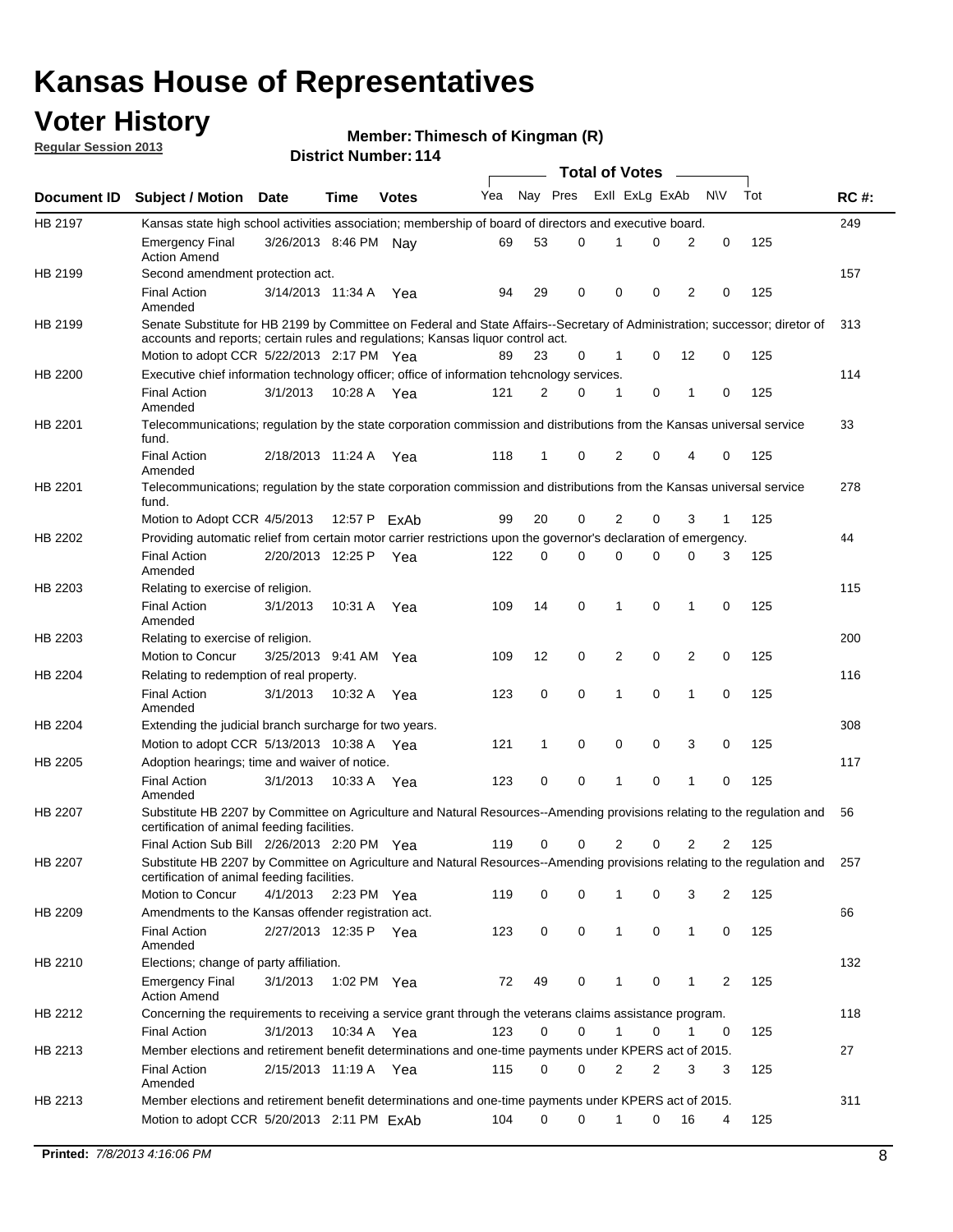## **Voter History**

**Member: Thimesch of Kingman (R)** 

**Regular Session 2013**

|             |                                                                                                                                                                             |                       |             |              |     |          |          | <b>Total of Votes</b> |   |              |            |     |             |
|-------------|-----------------------------------------------------------------------------------------------------------------------------------------------------------------------------|-----------------------|-------------|--------------|-----|----------|----------|-----------------------|---|--------------|------------|-----|-------------|
| Document ID | <b>Subject / Motion Date</b>                                                                                                                                                |                       | Time        | <b>Votes</b> | Yea | Nay Pres |          | Exll ExLg ExAb        |   |              | <b>N/A</b> | Tot | <b>RC#:</b> |
| HB 2197     | Kansas state high school activities association; membership of board of directors and executive board.                                                                      |                       |             |              |     |          |          |                       |   |              |            |     | 249         |
|             | Emergency Final<br><b>Action Amend</b>                                                                                                                                      | 3/26/2013 8:46 PM     |             | Nav          | 69  | 53       | 0        |                       | 0 | 2            | 0          | 125 |             |
| HB 2199     | Second amendment protection act.                                                                                                                                            |                       |             |              |     |          |          |                       |   |              |            |     | 157         |
|             | <b>Final Action</b><br>Amended                                                                                                                                              | 3/14/2013 11:34 A     |             | Yea          | 94  | 29       | 0        | 0                     | 0 | 2            | 0          | 125 |             |
| HB 2199     | Senate Substitute for HB 2199 by Committee on Federal and State Affairs--Secretary of Administration; successor; diretor of                                                 |                       |             |              |     |          |          |                       |   |              |            |     | 313         |
|             | accounts and reports; certain rules and regulations; Kansas liguor control act.                                                                                             |                       |             |              |     |          |          |                       |   |              |            |     |             |
|             | Motion to adopt CCR 5/22/2013 2:17 PM Yea                                                                                                                                   |                       |             |              | 89  | 23       | 0        | 1                     | 0 | 12           | 0          | 125 |             |
| HB 2200     | Executive chief information technology officer; office of information tehcnology services.                                                                                  |                       |             |              |     |          |          |                       |   |              |            |     | 114         |
|             | <b>Final Action</b><br>Amended                                                                                                                                              | 3/1/2013              | 10:28 A     | Yea          | 121 | 2        | 0        | 1                     | 0 | 1            | 0          | 125 |             |
| HB 2201     | Telecommunications; regulation by the state corporation commission and distributions from the Kansas universal service<br>fund.                                             |                       |             |              |     |          |          |                       |   |              |            |     | 33          |
|             | <b>Final Action</b><br>Amended                                                                                                                                              | 2/18/2013 11:24 A     |             | Yea          | 118 | 1        | 0        | 2                     | 0 | 4            | 0          | 125 |             |
| HB 2201     | Telecommunications; regulation by the state corporation commission and distributions from the Kansas universal service<br>fund.                                             |                       |             |              |     |          |          |                       |   |              |            |     | 278         |
|             | Motion to Adopt CCR 4/5/2013                                                                                                                                                |                       |             | 12:57 P ExAb | 99  | 20       | 0        | 2                     | 0 | 3            | 1          | 125 |             |
| HB 2202     | Providing automatic relief from certain motor carrier restrictions upon the governor's declaration of emergency.                                                            |                       |             |              |     |          |          |                       |   |              |            |     | 44          |
|             | <b>Final Action</b><br>Amended                                                                                                                                              | 2/20/2013 12:25 P     |             | Yea          | 122 | 0        | 0        | 0                     | 0 | 0            | 3          | 125 |             |
| HB 2203     | Relating to exercise of religion.                                                                                                                                           |                       |             |              |     |          |          |                       |   |              |            |     | 115         |
|             | <b>Final Action</b><br>Amended                                                                                                                                              | 3/1/2013              | 10:31 A     | Yea          | 109 | 14       | 0        | 1                     | 0 | 1            | 0          | 125 |             |
| HB 2203     | Relating to exercise of religion.                                                                                                                                           |                       |             |              |     |          |          |                       |   |              |            |     | 200         |
|             | Motion to Concur                                                                                                                                                            | 3/25/2013 9:41 AM     |             | Yea          | 109 | 12       | 0        | 2                     | 0 | 2            | 0          | 125 |             |
| HB 2204     | Relating to redemption of real property.                                                                                                                                    |                       |             |              |     |          |          |                       |   |              |            |     | 116         |
|             | <b>Final Action</b><br>Amended                                                                                                                                              | 3/1/2013              | 10:32 A     | Yea          | 123 | 0        | 0        | 1                     | 0 | 1            | 0          | 125 |             |
| HB 2204     | Extending the judicial branch surcharge for two years.                                                                                                                      |                       |             |              |     |          |          |                       |   |              |            |     | 308         |
|             | Motion to adopt CCR 5/13/2013 10:38 A                                                                                                                                       |                       |             | Yea          | 121 | 1        | 0        | 0                     | 0 | 3            | 0          | 125 |             |
| HB 2205     | Adoption hearings; time and waiver of notice.                                                                                                                               |                       |             |              |     |          |          |                       |   |              |            |     | 117         |
|             | <b>Final Action</b><br>Amended                                                                                                                                              | 3/1/2013              | 10:33 A Yea |              | 123 | 0        | 0        | 1                     | 0 | 1            | 0          | 125 |             |
| HB 2207     | Substitute HB 2207 by Committee on Agriculture and Natural Resources--Amending provisions relating to the regulation and<br>certification of animal feeding facilities.     |                       |             |              |     |          |          |                       |   |              |            |     | 56          |
|             | Final Action Sub Bill 2/26/2013 2:20 PM Yea                                                                                                                                 |                       |             |              | 119 | 0        | 0        | 2                     | 0 | 2            | 2          | 125 |             |
| HB 2207     | Substitute HB 2207 by Committee on Agriculture and Natural Resources--Amending provisions relating to the regulation and 257<br>certification of animal feeding facilities. |                       |             |              |     |          |          |                       |   |              |            |     |             |
|             | Motion to Concur                                                                                                                                                            | 4/1/2013 2:23 PM Yea  |             |              | 119 | 0        | 0        | 1                     | 0 | 3            | 2          | 125 |             |
| HB 2209     | Amendments to the Kansas offender registration act.                                                                                                                         |                       |             |              |     |          |          |                       |   |              |            |     | 66          |
|             | <b>Final Action</b><br>Amended                                                                                                                                              | 2/27/2013 12:35 P Yea |             |              | 123 | 0        | 0        | $\mathbf{1}$          | 0 | $\mathbf{1}$ | 0          | 125 |             |
| HB 2210     | Elections; change of party affiliation.                                                                                                                                     |                       |             |              |     |          |          |                       |   |              |            |     | 132         |
|             | <b>Emergency Final</b><br><b>Action Amend</b>                                                                                                                               | 3/1/2013              | 1:02 PM Yea |              | 72  | 49       | 0        |                       | 0 | 1            | 2          | 125 |             |
| HB 2212     | Concerning the requirements to receiving a service grant through the veterans claims assistance program.                                                                    |                       |             |              |     |          |          |                       |   |              |            |     | 118         |
|             | Final Action                                                                                                                                                                | 3/1/2013              | 10:34 A Yea |              | 123 | 0        | 0        | $\mathbf{1}$          | 0 | 1            | 0          | 125 |             |
| HB 2213     | Member elections and retirement benefit determinations and one-time payments under KPERS act of 2015.                                                                       |                       |             |              |     |          |          |                       |   |              |            |     | 27          |
|             | <b>Final Action</b><br>Amended                                                                                                                                              | 2/15/2013 11:19 A Yea |             |              | 115 | 0        | 0        | 2                     | 2 | 3            | 3          | 125 |             |
| HB 2213     | Member elections and retirement benefit determinations and one-time payments under KPERS act of 2015.                                                                       |                       |             |              |     |          |          |                       |   |              |            |     | 311         |
|             | Motion to adopt CCR 5/20/2013 2:11 PM ExAb                                                                                                                                  |                       |             |              | 104 | $\Omega$ | $\Omega$ | 1                     | 0 | 16           | 4          | 125 |             |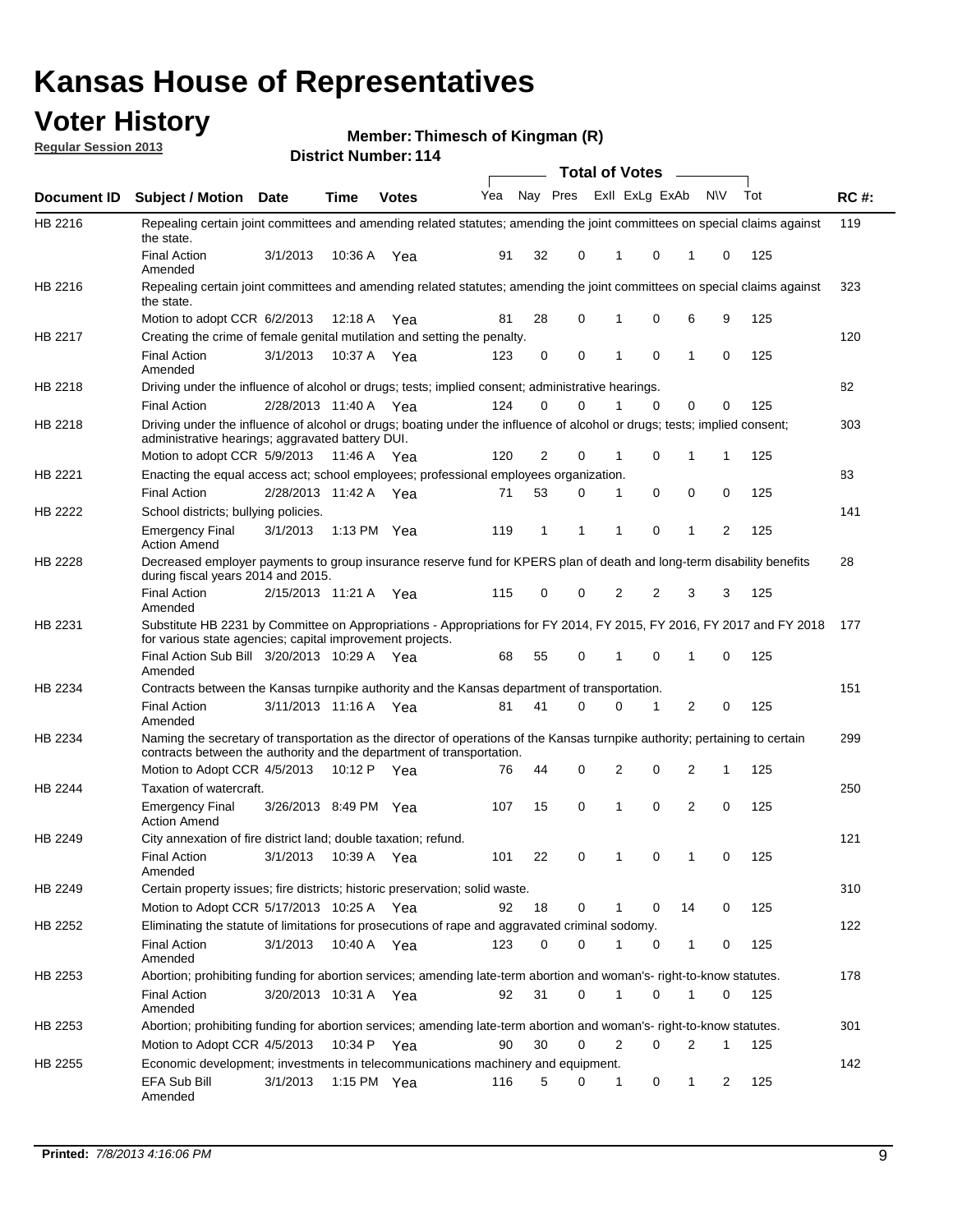## **Voter History**

**Member: Thimesch of Kingman (R)** 

**Regular Session 2013**

|                    |                                                                                                                                                                                                       |                       |             | דו ו וסטוווטנו ועוווסוש |     |          |          | <b>Total of Votes</b> |          | $\sim$         |           |     |             |
|--------------------|-------------------------------------------------------------------------------------------------------------------------------------------------------------------------------------------------------|-----------------------|-------------|-------------------------|-----|----------|----------|-----------------------|----------|----------------|-----------|-----|-------------|
| <b>Document ID</b> | <b>Subject / Motion Date</b>                                                                                                                                                                          |                       | <b>Time</b> | <b>Votes</b>            | Yea | Nay Pres |          | Exll ExLg ExAb        |          |                | <b>NV</b> | Tot | <b>RC#:</b> |
| HB 2216            | Repealing certain joint committees and amending related statutes; amending the joint committees on special claims against<br>the state.                                                               |                       |             |                         |     |          |          |                       |          |                |           |     | 119         |
|                    | <b>Final Action</b><br>Amended                                                                                                                                                                        | 3/1/2013              | 10:36 A     | Yea                     | 91  | 32       | 0        | 1                     | 0        | 1              | 0         | 125 |             |
| HB 2216            | Repealing certain joint committees and amending related statutes; amending the joint committees on special claims against<br>the state.                                                               |                       |             |                         |     |          |          |                       |          |                |           |     | 323         |
|                    | Motion to adopt CCR 6/2/2013                                                                                                                                                                          |                       | 12:18 A     | Yea                     | 81  | 28       | 0        | 1                     | 0        | 6              | 9         | 125 |             |
| HB 2217            | Creating the crime of female genital mutilation and setting the penalty.                                                                                                                              |                       |             |                         |     |          |          |                       |          |                |           |     | 120         |
|                    | <b>Final Action</b><br>Amended                                                                                                                                                                        | 3/1/2013              |             | 10:37 A Yea             | 123 | 0        | 0        | 1                     | 0        | $\mathbf{1}$   | 0         | 125 |             |
| HB 2218            | Driving under the influence of alcohol or drugs; tests; implied consent; administrative hearings.                                                                                                     |                       |             |                         |     |          |          |                       |          |                |           |     | 82          |
|                    | <b>Final Action</b>                                                                                                                                                                                   | 2/28/2013 11:40 A     |             | Yea                     | 124 | 0        | 0        |                       | 0        | 0              | 0         | 125 |             |
| HB 2218            | Driving under the influence of alcohol or drugs; boating under the influence of alcohol or drugs; tests; implied consent;<br>administrative hearings; aggravated battery DUI.                         |                       |             |                         |     |          |          |                       |          |                |           |     | 303         |
|                    | Motion to adopt CCR 5/9/2013                                                                                                                                                                          |                       | 11:46 A     | Yea                     | 120 | 2        | 0        | 1                     | 0        | 1              | 1         | 125 |             |
| HB 2221            | Enacting the equal access act; school employees; professional employees organization.                                                                                                                 |                       |             |                         |     |          |          |                       |          |                |           |     | 83          |
|                    | <b>Final Action</b>                                                                                                                                                                                   | 2/28/2013 11:42 A     |             | Yea                     | 71  | 53       | 0        | 1                     | 0        | 0              | 0         | 125 |             |
| HB 2222            | School districts; bullying policies.                                                                                                                                                                  |                       |             |                         |     |          |          |                       |          |                |           |     | 141         |
|                    | Emergency Final<br><b>Action Amend</b>                                                                                                                                                                | 3/1/2013              |             | 1:13 PM $Yea$           | 119 | 1        | 1        | 1                     | 0        | 1              | 2         | 125 |             |
| HB 2228            | Decreased employer payments to group insurance reserve fund for KPERS plan of death and long-term disability benefits<br>during fiscal years 2014 and 2015.                                           |                       |             |                         |     |          |          |                       |          |                |           |     | 28          |
|                    | <b>Final Action</b><br>Amended                                                                                                                                                                        | 2/15/2013 11:21 A Yea |             |                         | 115 | 0        | 0        | 2                     | 2        | 3              | 3         | 125 |             |
| HB 2231            | Substitute HB 2231 by Committee on Appropriations - Appropriations for FY 2014, FY 2015, FY 2016, FY 2017 and FY 2018<br>for various state agencies; capital improvement projects.                    |                       |             |                         |     |          |          |                       |          |                |           |     | - 177       |
|                    | Final Action Sub Bill 3/20/2013 10:29 A<br>Amended                                                                                                                                                    |                       |             | Yea                     | 68  | 55       | 0        | 1                     | 0        | 1              | 0         | 125 |             |
| HB 2234            | Contracts between the Kansas turnpike authority and the Kansas department of transportation.                                                                                                          |                       |             |                         |     |          |          |                       |          |                |           |     | 151         |
|                    | Final Action<br>Amended                                                                                                                                                                               | 3/11/2013 11:16 A Yea |             |                         | 81  | 41       | $\Omega$ | 0                     | 1        | $\overline{2}$ | 0         | 125 |             |
| HB 2234            | Naming the secretary of transportation as the director of operations of the Kansas turnpike authority; pertaining to certain<br>contracts between the authority and the department of transportation. |                       |             |                         |     |          |          |                       |          |                |           |     | 299         |
|                    | Motion to Adopt CCR 4/5/2013                                                                                                                                                                          |                       | 10:12 $P$   | Yea                     | 76  | 44       | 0        | 2                     | 0        | 2              | 1         | 125 |             |
| HB 2244            | Taxation of watercraft.<br><b>Emergency Final</b>                                                                                                                                                     | 3/26/2013 8:49 PM Yea |             |                         | 107 | 15       | 0        | 1                     | 0        | 2              | 0         | 125 | 250         |
|                    | <b>Action Amend</b>                                                                                                                                                                                   |                       |             |                         |     |          |          |                       |          |                |           |     |             |
| HB 2249            | City annexation of fire district land; double taxation; refund.                                                                                                                                       |                       |             |                         |     |          |          |                       |          |                |           |     | 121         |
|                    | Final Action 3/1/2013 10:39 A Yea<br>Amended                                                                                                                                                          |                       |             |                         | 101 | 22       | 0        | $\mathbf{1}$          | $\Omega$ | $\mathbf{1}$   | 0         | 125 |             |
| HB 2249            | Certain property issues; fire districts; historic preservation; solid waste.                                                                                                                          |                       |             |                         |     |          |          |                       |          |                |           |     | 310         |
|                    | Motion to Adopt CCR 5/17/2013 10:25 A Yea                                                                                                                                                             |                       |             |                         | 92  | 18       | 0        | 1                     | 0        | 14             | 0         | 125 |             |
| HB 2252            | Eliminating the statute of limitations for prosecutions of rape and aggravated criminal sodomy.                                                                                                       |                       |             |                         |     |          |          |                       |          |                |           |     | 122         |
|                    |                                                                                                                                                                                                       | 3/1/2013              |             |                         |     | 0        | 0        | 1                     |          |                |           |     |             |
|                    | <b>Final Action</b><br>Amended                                                                                                                                                                        |                       |             | 10:40 A Yea             | 123 |          |          |                       | 0        | $\mathbf{1}$   | 0         | 125 |             |
| HB 2253            | Abortion; prohibiting funding for abortion services; amending late-term abortion and woman's- right-to-know statutes.                                                                                 |                       |             |                         |     |          |          |                       |          |                |           |     | 178         |
|                    | <b>Final Action</b><br>Amended                                                                                                                                                                        | 3/20/2013 10:31 A Yea |             |                         | 92  | 31       | 0        | 1                     | 0        | 1              | 0         | 125 |             |
| HB 2253            | Abortion; prohibiting funding for abortion services; amending late-term abortion and woman's- right-to-know statutes.                                                                                 |                       |             |                         |     |          |          |                       |          |                |           |     | 301         |
|                    | Motion to Adopt CCR 4/5/2013                                                                                                                                                                          |                       | 10:34 P     | Yea                     | 90  | 30       | 0        | 2                     | 0        | 2              | 1         | 125 |             |
| HB 2255            | Economic development; investments in telecommunications machinery and equipment.                                                                                                                      |                       |             |                         |     |          |          |                       |          |                |           |     | 142         |
|                    | EFA Sub Bill<br>Amended                                                                                                                                                                               | 3/1/2013              |             | 1:15 PM Yea             | 116 | 5        | 0        | -1                    | 0        | 1              | 2         | 125 |             |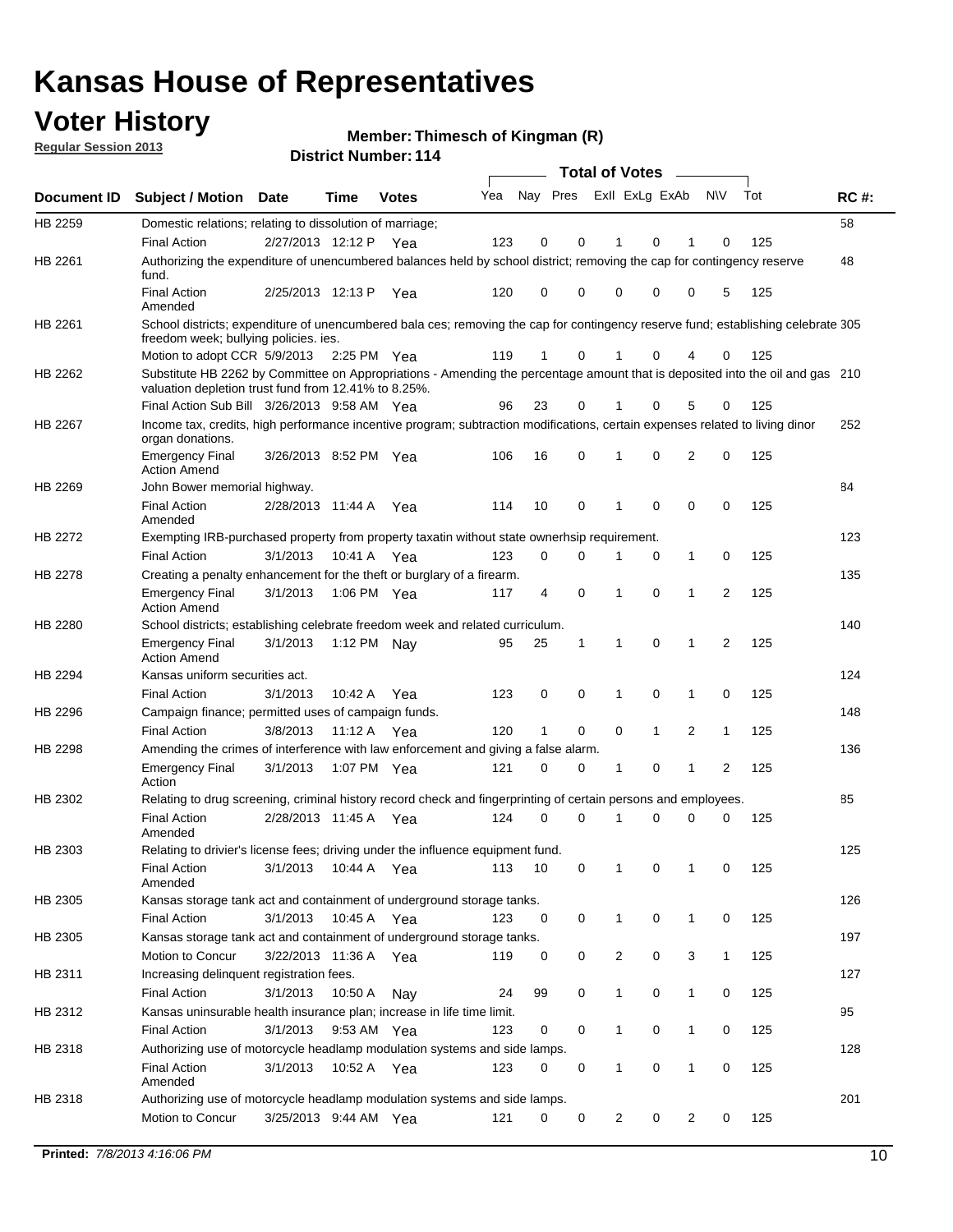## **Voter History**

**Member: Thimesch of Kingman (R)** 

**Regular Session 2013**

|                    |                                                                                                                                                                                       |                       |             | רו ו וסעווווטרו וטופו |     |                         |             | <b>Total of Votes</b> |              | $\sim$         |              |     |             |
|--------------------|---------------------------------------------------------------------------------------------------------------------------------------------------------------------------------------|-----------------------|-------------|-----------------------|-----|-------------------------|-------------|-----------------------|--------------|----------------|--------------|-----|-------------|
| <b>Document ID</b> | <b>Subject / Motion</b>                                                                                                                                                               | <b>Date</b>           | Time        | <b>Votes</b>          | Yea | Nay Pres Exll ExLg ExAb |             |                       |              |                | N\V          | Tot | <b>RC#:</b> |
| HB 2259            | Domestic relations; relating to dissolution of marriage;                                                                                                                              |                       |             |                       |     |                         |             |                       |              |                |              |     | 58          |
|                    | <b>Final Action</b>                                                                                                                                                                   | 2/27/2013 12:12 P     |             | Yea                   | 123 | 0                       | 0           | 1                     | 0            | 1              | $\Omega$     | 125 |             |
| HB 2261            | Authorizing the expenditure of unencumbered balances held by school district; removing the cap for contingency reserve<br>fund.                                                       |                       |             |                       |     |                         |             |                       |              |                |              |     | 48          |
|                    | <b>Final Action</b><br>Amended                                                                                                                                                        | 2/25/2013 12:13 P     |             | Yea                   | 120 | 0                       | 0           | 0                     | 0            | 0              | 5            | 125 |             |
| HB 2261            | School districts; expenditure of unencumbered bala ces; removing the cap for contingency reserve fund; establishing celebrate 305<br>freedom week; bullying policies. ies.            |                       |             |                       |     |                         |             |                       |              |                |              |     |             |
|                    | Motion to adopt CCR 5/9/2013                                                                                                                                                          |                       | 2:25 PM Yea |                       | 119 | 1                       | 0           |                       | 0            | 4              | 0            | 125 |             |
| HB 2262            | Substitute HB 2262 by Committee on Appropriations - Amending the percentage amount that is deposited into the oil and gas 210<br>valuation depletion trust fund from 12.41% to 8.25%. |                       |             |                       |     |                         |             |                       |              |                |              |     |             |
|                    | Final Action Sub Bill 3/26/2013 9:58 AM Yea                                                                                                                                           |                       |             |                       | 96  | 23                      | 0           |                       | 0            | 5              | 0            | 125 |             |
| HB 2267            | Income tax, credits, high performance incentive program; subtraction modifications, certain expenses related to living dinor<br>organ donations.                                      |                       |             |                       |     |                         |             |                       |              |                |              |     | 252         |
|                    | <b>Emergency Final</b><br><b>Action Amend</b>                                                                                                                                         | 3/26/2013 8:52 PM Yea |             |                       | 106 | 16                      | 0           | 1                     | 0            | 2              | 0            | 125 |             |
| HB 2269            | John Bower memorial highway.                                                                                                                                                          |                       |             |                       |     |                         |             |                       |              |                |              |     | 84          |
|                    | <b>Final Action</b><br>Amended                                                                                                                                                        | 2/28/2013 11:44 A Yea |             |                       | 114 | 10                      | 0           | 1                     | 0            | 0              | 0            | 125 |             |
| HB 2272            | Exempting IRB-purchased property from property taxatin without state ownerhsip requirement.                                                                                           |                       |             |                       |     |                         |             |                       |              |                |              |     | 123         |
|                    | <b>Final Action</b>                                                                                                                                                                   | 3/1/2013              | 10:41 A Yea |                       | 123 | 0                       | 0           | 1                     | 0            | $\mathbf{1}$   | 0            | 125 |             |
| HB 2278            | Creating a penalty enhancement for the theft or burglary of a firearm.                                                                                                                |                       |             |                       |     |                         |             |                       |              |                |              |     | 135         |
|                    | <b>Emergency Final</b><br><b>Action Amend</b>                                                                                                                                         | 3/1/2013              | 1:06 PM Yea |                       | 117 | 4                       | $\mathbf 0$ | $\mathbf 1$           | $\Omega$     | 1              | 2            | 125 |             |
| HB 2280            | School districts; establishing celebrate freedom week and related curriculum.                                                                                                         |                       |             |                       |     |                         |             |                       |              |                |              |     | 140         |
|                    | <b>Emergency Final</b><br><b>Action Amend</b>                                                                                                                                         | 3/1/2013              | 1:12 PM Nav |                       | 95  | 25                      | 1           | 1                     | 0            | 1              | 2            | 125 |             |
| HB 2294            | Kansas uniform securities act.                                                                                                                                                        |                       |             |                       |     |                         |             |                       |              |                |              |     | 124         |
|                    | <b>Final Action</b>                                                                                                                                                                   | 3/1/2013              | 10:42 A Yea |                       | 123 | 0                       | 0           | 1                     | $\mathbf 0$  | $\mathbf{1}$   | 0            | 125 |             |
| HB 2296            | Campaign finance; permitted uses of campaign funds.                                                                                                                                   |                       |             |                       |     |                         |             |                       |              |                |              |     | 148         |
|                    | <b>Final Action</b>                                                                                                                                                                   | 3/8/2013              | 11:12 A Yea |                       | 120 | $\mathbf{1}$            | 0           | 0                     | $\mathbf{1}$ | $\overline{2}$ | $\mathbf{1}$ | 125 |             |
| HB 2298            | Amending the crimes of interference with law enforcement and giving a false alarm.                                                                                                    |                       |             |                       |     |                         |             |                       |              |                |              |     | 136         |
|                    | <b>Emergency Final</b><br>Action                                                                                                                                                      | 3/1/2013              | 1:07 PM Yea |                       | 121 | 0                       | 0           | 1                     | 0            | $\mathbf{1}$   | 2            | 125 |             |
| HB 2302            | Relating to drug screening, criminal history record check and fingerprinting of certain persons and employees.                                                                        |                       |             |                       |     |                         |             |                       |              |                |              |     | 85          |
|                    | <b>Final Action</b><br>Amended                                                                                                                                                        | 2/28/2013 11:45 A Yea |             |                       | 124 | 0                       | $\Omega$    | 1                     | 0            | 0              | $\mathbf 0$  | 125 |             |
| HB 2303            | Relating to drivier's license fees; driving under the influence equipment fund.                                                                                                       |                       |             |                       |     |                         |             |                       |              |                |              |     | 125         |
|                    | <b>Final Action</b><br>Amended                                                                                                                                                        | 3/1/2013              | 10:44 A     | Yea                   | 113 | 10                      | 0           | 1                     | 0            | 1              | 0            | 125 |             |
| HB 2305            | Kansas storage tank act and containment of underground storage tanks.                                                                                                                 |                       |             |                       |     |                         |             |                       |              |                |              |     | 126         |
|                    | <b>Final Action</b>                                                                                                                                                                   | 3/1/2013              | 10:45 A     | Yea                   | 123 | 0                       | 0           | 1                     | 0            | $\mathbf{1}$   | 0            | 125 |             |
| HB 2305            | Kansas storage tank act and containment of underground storage tanks.                                                                                                                 |                       |             |                       |     |                         |             |                       |              |                |              |     | 197         |
|                    | Motion to Concur                                                                                                                                                                      | 3/22/2013 11:36 A     |             | Yea                   | 119 | 0                       | 0           | 2                     | 0            | 3              | $\mathbf{1}$ | 125 |             |
| HB 2311            | Increasing delinquent registration fees.                                                                                                                                              |                       |             |                       |     |                         |             |                       |              |                |              |     | 127         |
|                    | <b>Final Action</b>                                                                                                                                                                   | 3/1/2013              | 10:50 A     | Nay                   | 24  | 99                      | 0           | $\mathbf{1}$          | 0            | $\mathbf{1}$   | 0            | 125 |             |
| HB 2312            | Kansas uninsurable health insurance plan; increase in life time limit.                                                                                                                |                       |             |                       |     |                         |             |                       |              |                |              |     | 95          |
|                    | <b>Final Action</b>                                                                                                                                                                   | 3/1/2013              | 9:53 AM Yea |                       | 123 | 0                       | 0           | 1                     | 0            | 1              | 0            | 125 |             |
| HB 2318            | Authorizing use of motorcycle headlamp modulation systems and side lamps.                                                                                                             |                       |             |                       |     |                         |             |                       |              |                |              |     | 128         |
|                    | <b>Final Action</b><br>Amended                                                                                                                                                        | 3/1/2013              | 10:52 A     | Yea                   | 123 | 0                       | 0           | 1                     | 0            | 1              | 0            | 125 |             |
| HB 2318            | Authorizing use of motorcycle headlamp modulation systems and side lamps.                                                                                                             |                       |             |                       |     |                         |             |                       |              |                |              |     | 201         |
|                    | Motion to Concur                                                                                                                                                                      | 3/25/2013 9:44 AM Yea |             |                       | 121 | 0                       | 0           | 2                     | 0            | 2              | 0            | 125 |             |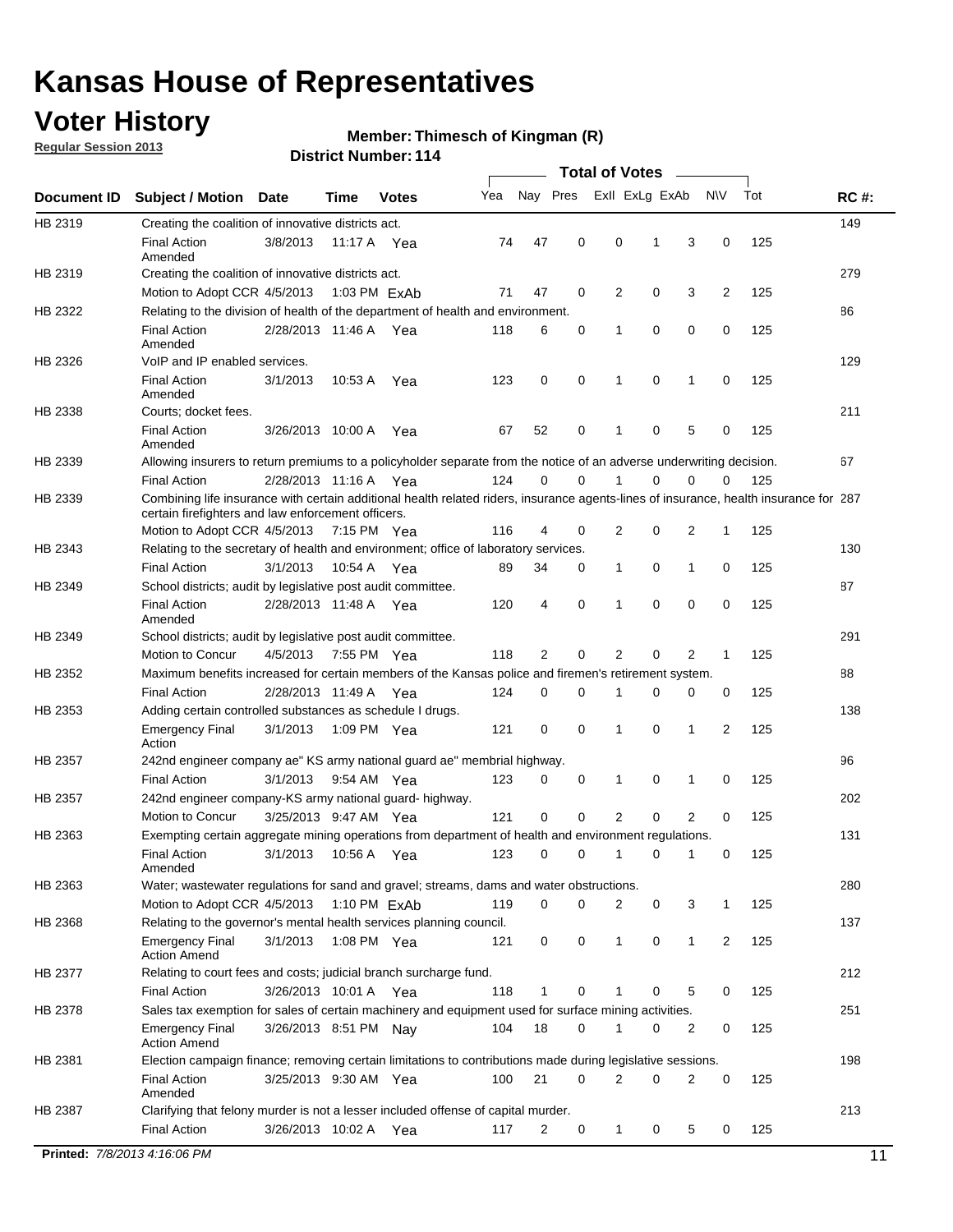## **Voter History**

**Regular Session 2013**

#### **Member: Thimesch of Kingman (R)**

|                              |                                                                                                                                                                                             |                       |             |              |     |             |             | <b>Total of Votes</b> |             |                |             |     |             |
|------------------------------|---------------------------------------------------------------------------------------------------------------------------------------------------------------------------------------------|-----------------------|-------------|--------------|-----|-------------|-------------|-----------------------|-------------|----------------|-------------|-----|-------------|
| Document ID                  | <b>Subject / Motion</b>                                                                                                                                                                     | Date                  | Time        | <b>Votes</b> | Yea | Nay Pres    |             | Exll ExLg ExAb        |             |                | <b>NV</b>   | Tot | <b>RC#:</b> |
| HB 2319                      | Creating the coalition of innovative districts act.                                                                                                                                         |                       |             |              |     |             |             |                       |             |                |             |     | 149         |
|                              | <b>Final Action</b><br>Amended                                                                                                                                                              | 3/8/2013              | 11:17 A     | Yea          | 74  | 47          | 0           | 0                     | 1           | 3              | 0           | 125 |             |
| HB 2319                      | Creating the coalition of innovative districts act.<br>Motion to Adopt CCR 4/5/2013                                                                                                         |                       |             | 1:03 PM ExAb | 71  | 47          | 0           | 2                     | 0           | 3              | 2           | 125 | 279         |
| HB 2322                      | Relating to the division of health of the department of health and environment.                                                                                                             |                       |             |              |     |             |             |                       |             |                |             |     | 86          |
|                              | <b>Final Action</b><br>Amended                                                                                                                                                              | 2/28/2013 11:46 A Yea |             |              | 118 | 6           | 0           | 1                     | 0           | 0              | 0           | 125 |             |
| HB 2326                      | VoIP and IP enabled services.                                                                                                                                                               |                       |             |              |     |             |             |                       |             |                |             |     | 129         |
|                              | <b>Final Action</b><br>Amended                                                                                                                                                              | 3/1/2013              | 10:53 A     | Yea          | 123 | $\mathbf 0$ | 0           | 1                     | $\mathbf 0$ | 1              | $\mathbf 0$ | 125 |             |
| HB 2338                      | Courts; docket fees.                                                                                                                                                                        |                       |             |              |     |             |             |                       |             |                |             |     | 211         |
|                              | <b>Final Action</b><br>Amended                                                                                                                                                              | 3/26/2013 10:00 A     |             | Yea          | 67  | 52          | 0           | $\mathbf 1$           | 0           | 5              | 0           | 125 |             |
| HB 2339                      | Allowing insurers to return premiums to a policyholder separate from the notice of an adverse underwriting decision.                                                                        |                       |             |              |     |             |             |                       |             |                |             |     | 67          |
|                              | <b>Final Action</b>                                                                                                                                                                         | 2/28/2013 11:16 A Yea |             |              | 124 | 0           | 0           | 1                     | 0           | 0              | 0           | 125 |             |
| HB 2339                      | Combining life insurance with certain additional health related riders, insurance agents-lines of insurance, health insurance for 287<br>certain firefighters and law enforcement officers. |                       |             |              |     |             |             |                       |             |                |             |     |             |
|                              | Motion to Adopt CCR 4/5/2013 7:15 PM Yea                                                                                                                                                    |                       |             |              | 116 | 4           | 0           | 2                     | 0           | 2              | 1           | 125 |             |
| HB 2343                      | Relating to the secretary of health and environment; office of laboratory services.                                                                                                         |                       |             |              |     |             |             |                       |             |                |             |     | 130         |
|                              | <b>Final Action</b>                                                                                                                                                                         | 3/1/2013              | 10:54 A Yea |              | 89  | 34          | 0           | $\mathbf{1}$          | 0           | 1              | 0           | 125 |             |
| HB 2349                      | School districts; audit by legislative post audit committee.                                                                                                                                |                       |             |              |     |             |             |                       |             |                |             |     | 87          |
|                              | <b>Final Action</b><br>Amended                                                                                                                                                              | 2/28/2013 11:48 A Yea |             |              | 120 | 4           | 0           | 1                     | $\Omega$    | $\Omega$       | 0           | 125 |             |
| HB 2349                      | School districts; audit by legislative post audit committee.                                                                                                                                |                       |             |              |     |             |             |                       |             |                |             |     | 291         |
|                              | Motion to Concur                                                                                                                                                                            | 4/5/2013              |             | 7:55 PM Yea  | 118 | 2           | 0           | 2                     | 0           | 2              | 1           | 125 |             |
| HB 2352                      | Maximum benefits increased for certain members of the Kansas police and firemen's retirement system.                                                                                        |                       |             |              |     |             |             |                       |             |                |             |     | 88          |
|                              | <b>Final Action</b>                                                                                                                                                                         | 2/28/2013 11:49 A     |             | Yea          | 124 | 0           | 0           | 1                     | 0           | 0              | 0           | 125 |             |
| HB 2353                      | Adding certain controlled substances as schedule I drugs.                                                                                                                                   |                       |             |              |     |             |             |                       |             |                |             |     | 138         |
|                              | <b>Emergency Final</b><br>Action                                                                                                                                                            | 3/1/2013              |             | 1:09 PM Yea  | 121 | $\mathbf 0$ | $\mathbf 0$ | 1                     | 0           | 1              | 2           | 125 |             |
| HB 2357                      | 242nd engineer company ae" KS army national guard ae" membrial highway.                                                                                                                     |                       |             |              |     |             |             |                       |             |                |             |     | 96          |
|                              | <b>Final Action</b>                                                                                                                                                                         | 3/1/2013              |             | 9:54 AM Yea  | 123 | 0           | 0           | 1                     | 0           | 1              | 0           | 125 |             |
| HB 2357                      | 242nd engineer company-KS army national guard- highway.                                                                                                                                     |                       |             |              |     |             |             |                       |             |                |             |     | 202         |
|                              | Motion to Concur                                                                                                                                                                            | 3/25/2013 9:47 AM Yea |             |              | 121 | $\mathbf 0$ | $\mathbf 0$ | $\overline{2}$        | $\mathbf 0$ | $\overline{2}$ | 0           | 125 |             |
| HB 2363                      | Exempting certain aggregate mining operations from department of health and environment regulations.                                                                                        |                       |             |              |     |             |             |                       |             |                |             |     | 131         |
|                              | <b>Final Action</b><br>Amended                                                                                                                                                              | 3/1/2013              | 10:56 A     | Yea          | 123 | 0           | 0           | 1                     | 0           | 1              | 0           | 125 |             |
| HB 2363                      | Water; wastewater regulations for sand and gravel; streams, dams and water obstructions.                                                                                                    |                       |             |              |     |             |             |                       |             |                |             |     | 280         |
|                              | Motion to Adopt CCR 4/5/2013                                                                                                                                                                |                       |             | 1:10 PM ExAb | 119 | 0           | 0           | 2                     | 0           | 3              | 1           | 125 |             |
| HB 2368                      | Relating to the governor's mental health services planning council.<br><b>Emergency Final</b>                                                                                               | 3/1/2013              |             | 1:08 PM Yea  | 121 | 0           | 0           | $\mathbf{1}$          | 0           | 1              | 2           | 125 | 137         |
| HB 2377                      | <b>Action Amend</b><br>Relating to court fees and costs; judicial branch surcharge fund.                                                                                                    |                       |             |              |     |             |             |                       |             |                |             |     | 212         |
|                              | <b>Final Action</b>                                                                                                                                                                         | 3/26/2013 10:01 A Yea |             |              | 118 | 1           | 0           |                       | 0           | 5              | 0           | 125 |             |
| HB 2378                      | Sales tax exemption for sales of certain machinery and equipment used for surface mining activities.                                                                                        |                       |             |              |     |             |             |                       |             |                |             |     | 251         |
|                              | <b>Emergency Final</b><br><b>Action Amend</b>                                                                                                                                               | 3/26/2013 8:51 PM Nay |             |              | 104 | 18          | 0           | 1                     | 0           | 2              | 0           | 125 |             |
| HB 2381                      | Election campaign finance; removing certain limitations to contributions made during legislative sessions.                                                                                  |                       |             |              |     |             |             |                       |             |                |             |     | 198         |
|                              | <b>Final Action</b>                                                                                                                                                                         | 3/25/2013 9:30 AM Yea |             |              | 100 | 21          | 0           | $\overline{2}$        | 0           | 2              | 0           | 125 |             |
|                              | Amended                                                                                                                                                                                     |                       |             |              |     |             |             |                       |             |                |             |     |             |
| HB 2387                      | Clarifying that felony murder is not a lesser included offense of capital murder.                                                                                                           |                       |             |              |     |             |             |                       |             |                |             |     | 213         |
|                              | <b>Final Action</b>                                                                                                                                                                         | 3/26/2013 10:02 A     |             | Yea          | 117 | 2           | 0           | 1                     | 0           | 5              | 0           | 125 |             |
| Printed: 7/8/2013 4:16:06 PM |                                                                                                                                                                                             |                       |             |              |     |             |             |                       |             |                |             |     | 11          |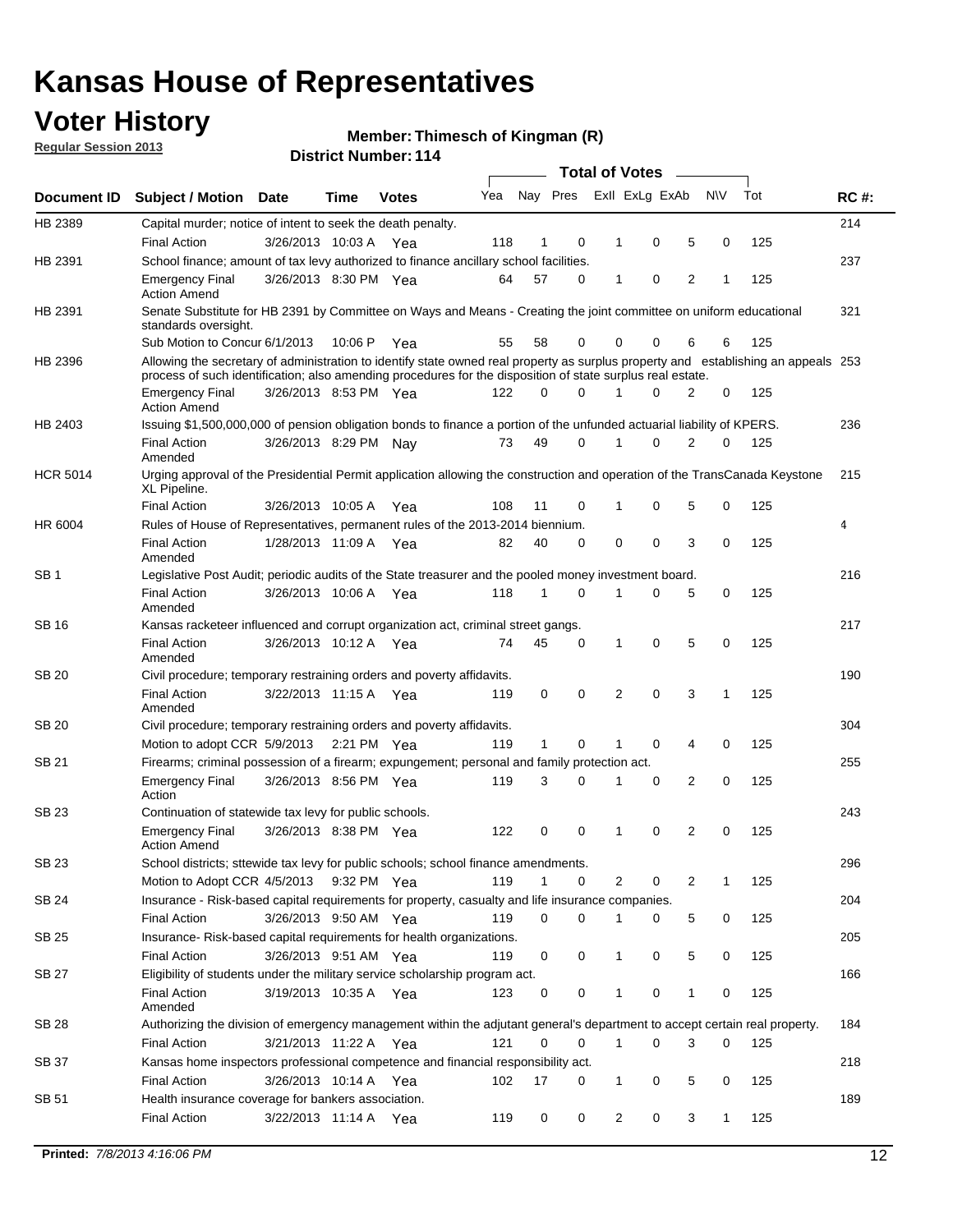## **Voter History**

**Member: Thimesch of Kingman (R)** 

**Regular Session 2013**

|                 |                                                                                                                                                                                                                                                  |                       |             |              |     |              |          | <b>Total of Votes</b> |   |   |              |     |             |
|-----------------|--------------------------------------------------------------------------------------------------------------------------------------------------------------------------------------------------------------------------------------------------|-----------------------|-------------|--------------|-----|--------------|----------|-----------------------|---|---|--------------|-----|-------------|
| Document ID     | Subject / Motion Date                                                                                                                                                                                                                            |                       | Time        | <b>Votes</b> | Yea | Nay Pres     |          | Exll ExLg ExAb        |   |   | <b>NV</b>    | Tot | <b>RC#:</b> |
| HB 2389         | Capital murder; notice of intent to seek the death penalty.                                                                                                                                                                                      |                       |             |              |     |              |          |                       |   |   |              |     | 214         |
|                 | <b>Final Action</b>                                                                                                                                                                                                                              | 3/26/2013 10:03 A     |             | Yea          | 118 | 1            | 0        | 1                     | 0 | 5 | 0            | 125 |             |
| HB 2391         | School finance; amount of tax levy authorized to finance ancillary school facilities.                                                                                                                                                            |                       |             |              |     |              |          |                       |   |   |              |     | 237         |
|                 | <b>Emergency Final</b><br><b>Action Amend</b>                                                                                                                                                                                                    | 3/26/2013 8:30 PM Yea |             |              | 64  | 57           | 0        | 1                     | 0 | 2 | 1            | 125 |             |
| HB 2391         | Senate Substitute for HB 2391 by Committee on Ways and Means - Creating the joint committee on uniform educational<br>standards oversight.                                                                                                       |                       |             |              |     |              |          |                       |   |   |              |     | 321         |
|                 | Sub Motion to Concur 6/1/2013                                                                                                                                                                                                                    |                       | 10:06 P     | Yea          | 55  | 58           | 0        | 0                     | 0 | 6 | 6            | 125 |             |
| HB 2396         | Allowing the secretary of administration to identify state owned real property as surplus property and establishing an appeals 253<br>process of such identification; also amending procedures for the disposition of state surplus real estate. |                       |             |              |     |              |          |                       |   |   |              |     |             |
|                 | <b>Emergency Final</b><br>Action Amend                                                                                                                                                                                                           | 3/26/2013 8:53 PM Yea |             |              | 122 | 0            | 0        |                       | 0 | 2 | 0            | 125 |             |
| HB 2403         | Issuing \$1,500,000,000 of pension obligation bonds to finance a portion of the unfunded actuarial liability of KPERS.                                                                                                                           |                       |             |              |     |              |          |                       |   |   |              |     | 236         |
|                 | <b>Final Action</b><br>Amended                                                                                                                                                                                                                   | 3/26/2013 8:29 PM Nay |             |              | 73  | 49           | 0        | 1                     | 0 | 2 | 0            | 125 |             |
| <b>HCR 5014</b> | Urging approval of the Presidential Permit application allowing the construction and operation of the TransCanada Keystone<br>XL Pipeline.                                                                                                       |                       |             |              |     |              |          |                       |   |   |              |     | 215         |
|                 | <b>Final Action</b>                                                                                                                                                                                                                              | 3/26/2013 10:05 A     |             | Yea          | 108 | 11           | 0        |                       | 0 | 5 | 0            | 125 |             |
| HR 6004         | Rules of House of Representatives, permanent rules of the 2013-2014 biennium.                                                                                                                                                                    |                       |             |              |     |              |          |                       |   |   |              |     | 4           |
|                 | <b>Final Action</b><br>Amended                                                                                                                                                                                                                   | 1/28/2013 11:09 A     |             | Yea          | 82  | 40           | 0        | 0                     | 0 | 3 | 0            | 125 |             |
| SB 1            | Legislative Post Audit; periodic audits of the State treasurer and the pooled money investment board.                                                                                                                                            |                       |             |              |     |              |          |                       |   |   |              |     | 216         |
|                 | <b>Final Action</b><br>Amended                                                                                                                                                                                                                   | 3/26/2013 10:06 A     |             | Yea          | 118 | 1            | 0        | 1                     | 0 | 5 | 0            | 125 |             |
| SB 16           | Kansas racketeer influenced and corrupt organization act, criminal street gangs.                                                                                                                                                                 |                       |             |              |     |              |          |                       |   |   |              |     | 217         |
|                 | <b>Final Action</b><br>Amended                                                                                                                                                                                                                   | 3/26/2013 10:12 A Yea |             |              | 74  | 45           | 0        | 1                     | 0 | 5 | 0            | 125 |             |
| SB 20           | Civil procedure; temporary restraining orders and poverty affidavits.                                                                                                                                                                            |                       |             |              |     |              |          |                       |   |   |              |     | 190         |
|                 | <b>Final Action</b><br>Amended                                                                                                                                                                                                                   | 3/22/2013 11:15 A     |             | Yea          | 119 | 0            | 0        | 2                     | 0 | 3 | 1            | 125 |             |
| SB 20           | Civil procedure; temporary restraining orders and poverty affidavits.                                                                                                                                                                            |                       |             |              |     |              |          |                       |   |   |              |     | 304         |
|                 | Motion to adopt CCR 5/9/2013                                                                                                                                                                                                                     |                       | 2:21 PM Yea |              | 119 | $\mathbf{1}$ | 0        | 1                     | 0 | 4 | 0            | 125 |             |
| SB 21           | Firearms; criminal possession of a firearm; expungement; personal and family protection act.                                                                                                                                                     |                       |             |              |     |              |          |                       |   |   |              |     | 255         |
|                 | <b>Emergency Final</b><br>Action                                                                                                                                                                                                                 | 3/26/2013 8:56 PM Yea |             |              | 119 | 3            | 0        |                       | 0 | 2 | 0            | 125 |             |
| SB 23           | Continuation of statewide tax levy for public schools.                                                                                                                                                                                           |                       |             |              |     |              |          |                       |   |   |              |     | 243         |
|                 | <b>Emergency Final</b><br><b>Action Amend</b>                                                                                                                                                                                                    | 3/26/2013 8:38 PM Yea |             |              | 122 | 0            | 0        | 1                     | 0 | 2 | 0            | 125 |             |
| <b>SB 23</b>    | School districts; sttewide tax levy for public schools; school finance amendments.                                                                                                                                                               |                       |             |              |     |              |          |                       |   |   |              |     | 296         |
|                 | Motion to Adopt CCR 4/5/2013 9:32 PM Yea                                                                                                                                                                                                         |                       |             |              | 119 | 1            | 0        | 2                     | 0 | 2 | 1            | 125 |             |
| <b>SB 24</b>    | Insurance - Risk-based capital requirements for property, casualty and life insurance companies.                                                                                                                                                 |                       |             |              |     |              |          |                       |   |   |              |     | 204         |
|                 | <b>Final Action</b>                                                                                                                                                                                                                              | 3/26/2013 9:50 AM Yea |             |              | 119 | 0            | 0        |                       | 0 | 5 | 0            | 125 |             |
| SB 25           | Insurance-Risk-based capital requirements for health organizations.                                                                                                                                                                              |                       |             |              |     |              |          |                       |   |   |              |     | 205         |
|                 | <b>Final Action</b>                                                                                                                                                                                                                              | 3/26/2013 9:51 AM Yea |             |              | 119 | 0            | 0        | 1                     | 0 | 5 | 0            | 125 |             |
| SB 27           | Eligibility of students under the military service scholarship program act.                                                                                                                                                                      |                       |             |              |     |              |          |                       |   |   |              |     | 166         |
|                 | <b>Final Action</b><br>Amended                                                                                                                                                                                                                   | 3/19/2013 10:35 A Yea |             |              | 123 | 0            | 0        |                       | 0 | 1 | 0            | 125 |             |
| SB 28           | Authorizing the division of emergency management within the adjutant general's department to accept certain real property.                                                                                                                       |                       |             |              |     |              |          |                       |   |   |              |     | 184         |
|                 | <b>Final Action</b>                                                                                                                                                                                                                              | 3/21/2013 11:22 A Yea |             |              | 121 | 0            | $\Omega$ | 1                     | 0 | 3 | $\Omega$     | 125 |             |
| SB 37           | Kansas home inspectors professional competence and financial responsibility act.                                                                                                                                                                 |                       |             |              |     |              |          |                       |   |   |              |     | 218         |
|                 | <b>Final Action</b>                                                                                                                                                                                                                              | 3/26/2013 10:14 A Yea |             |              | 102 | 17           | 0        | 1                     | 0 | 5 | 0            | 125 |             |
| SB 51           | Health insurance coverage for bankers association.                                                                                                                                                                                               |                       |             |              |     |              |          |                       |   |   |              |     | 189         |
|                 | <b>Final Action</b>                                                                                                                                                                                                                              | 3/22/2013 11:14 A Yea |             |              | 119 | 0            | 0        | 2                     | 0 | 3 | $\mathbf{1}$ | 125 |             |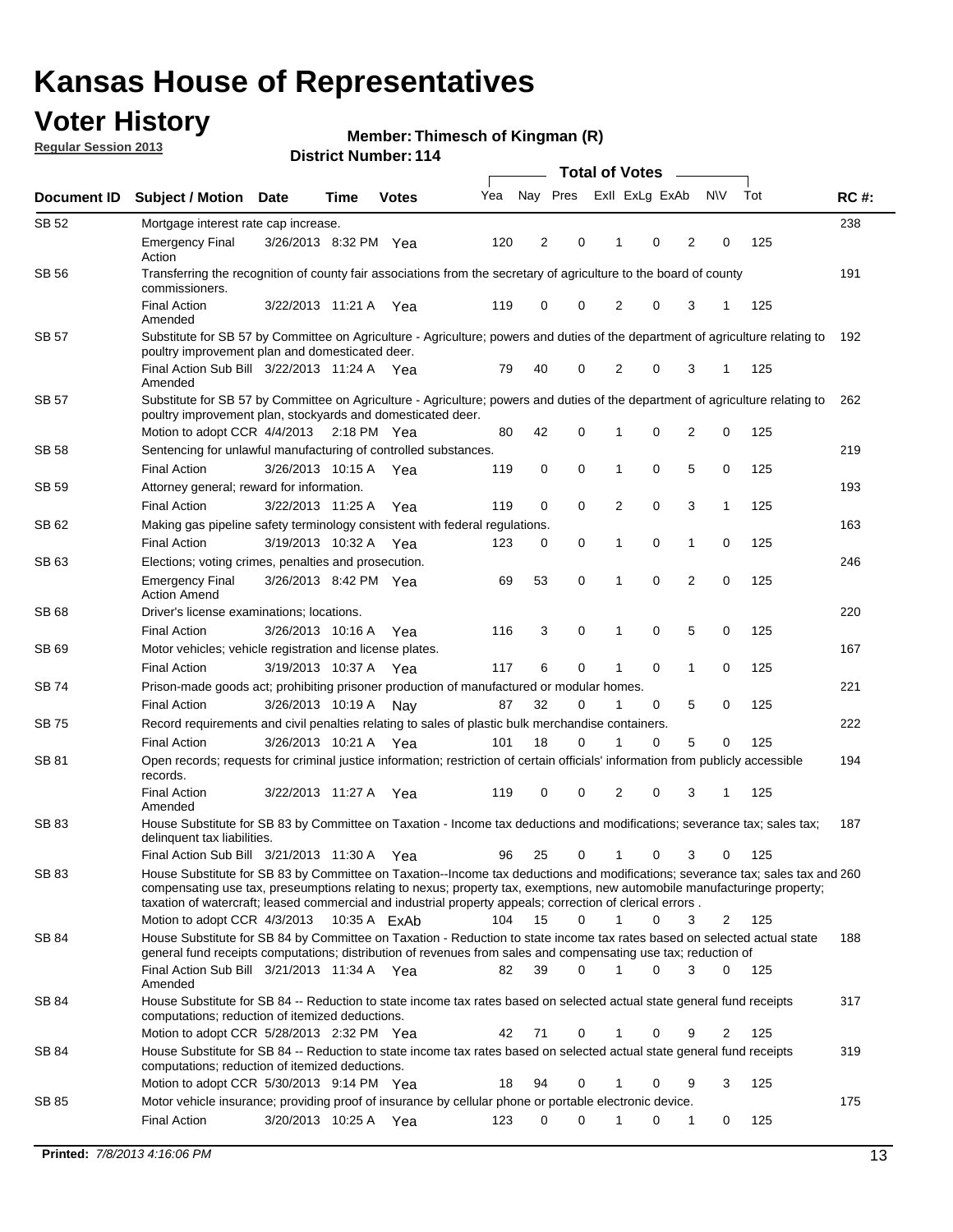## **Voter History**

**Member: Thimesch of Kingman (R)** 

**Regular Session 2013**

| Document ID  | <b>Subject / Motion</b>                                                                                                                                                                                                                                                                                                                                                 | <b>Date</b>           | Time | <b>Votes</b> | Yea | Nay Pres       |             | Exll ExLg ExAb |             |                | <b>NV</b>    | Tot | <b>RC#:</b> |
|--------------|-------------------------------------------------------------------------------------------------------------------------------------------------------------------------------------------------------------------------------------------------------------------------------------------------------------------------------------------------------------------------|-----------------------|------|--------------|-----|----------------|-------------|----------------|-------------|----------------|--------------|-----|-------------|
| <b>SB 52</b> | Mortgage interest rate cap increase.                                                                                                                                                                                                                                                                                                                                    |                       |      |              |     |                |             |                |             |                |              |     | 238         |
|              | <b>Emergency Final</b><br>Action                                                                                                                                                                                                                                                                                                                                        | 3/26/2013 8:32 PM Yea |      |              | 120 | $\overline{c}$ | 0           |                | 0           | 2              | 0            | 125 |             |
| <b>SB 56</b> | Transferring the recognition of county fair associations from the secretary of agriculture to the board of county<br>commissioners.                                                                                                                                                                                                                                     |                       |      |              |     |                |             |                |             |                |              |     | 191         |
|              | <b>Final Action</b><br>Amended                                                                                                                                                                                                                                                                                                                                          | 3/22/2013 11:21 A Yea |      |              | 119 | 0              | 0           | 2              | 0           | 3              | 1            | 125 |             |
| SB 57        | Substitute for SB 57 by Committee on Agriculture - Agriculture; powers and duties of the department of agriculture relating to<br>poultry improvement plan and domesticated deer.                                                                                                                                                                                       |                       |      |              |     |                |             |                |             |                |              |     | 192         |
|              | Final Action Sub Bill 3/22/2013 11:24 A Yea<br>Amended                                                                                                                                                                                                                                                                                                                  |                       |      |              | 79  | 40             | 0           | 2              | 0           | 3              | 1            | 125 |             |
| SB 57        | Substitute for SB 57 by Committee on Agriculture - Agriculture; powers and duties of the department of agriculture relating to<br>poultry improvement plan, stockyards and domesticated deer.                                                                                                                                                                           |                       |      |              |     |                |             |                |             |                |              |     | 262         |
|              | Motion to adopt CCR 4/4/2013 2:18 PM Yea                                                                                                                                                                                                                                                                                                                                |                       |      |              | 80  | 42             | 0           | 1              | 0           | $\overline{2}$ | 0            | 125 |             |
| <b>SB 58</b> | Sentencing for unlawful manufacturing of controlled substances.                                                                                                                                                                                                                                                                                                         |                       |      |              |     |                |             |                |             |                |              |     | 219         |
|              | <b>Final Action</b>                                                                                                                                                                                                                                                                                                                                                     | 3/26/2013 10:15 A     |      | Yea          | 119 | 0              | 0           | 1              | 0           | 5              | 0            | 125 |             |
| SB 59        | Attorney general; reward for information.                                                                                                                                                                                                                                                                                                                               |                       |      |              |     |                |             |                |             |                |              |     | 193         |
|              | <b>Final Action</b>                                                                                                                                                                                                                                                                                                                                                     | 3/22/2013 11:25 A     |      | Yea          | 119 | 0              | $\mathbf 0$ | 2              | 0           | 3              | $\mathbf{1}$ | 125 |             |
| SB 62        | Making gas pipeline safety terminology consistent with federal regulations.                                                                                                                                                                                                                                                                                             |                       |      |              |     |                |             |                |             |                |              |     | 163         |
|              | <b>Final Action</b>                                                                                                                                                                                                                                                                                                                                                     | 3/19/2013 10:32 A     |      | Yea          | 123 | 0              | 0           | 1              | 0           | $\mathbf{1}$   | 0            | 125 |             |
| SB 63        | Elections; voting crimes, penalties and prosecution.                                                                                                                                                                                                                                                                                                                    |                       |      |              |     |                |             |                |             |                |              |     | 246         |
|              | <b>Emergency Final</b><br><b>Action Amend</b>                                                                                                                                                                                                                                                                                                                           | 3/26/2013 8:42 PM Yea |      |              | 69  | 53             | 0           | $\mathbf 1$    | $\mathbf 0$ | $\overline{2}$ | $\mathbf 0$  | 125 |             |
| SB 68        | Driver's license examinations; locations.                                                                                                                                                                                                                                                                                                                               |                       |      |              |     |                |             |                |             |                |              |     | 220         |
|              | <b>Final Action</b>                                                                                                                                                                                                                                                                                                                                                     | 3/26/2013 10:16 A     |      | Yea          | 116 | 3              | 0           | 1              | 0           | 5              | 0            | 125 |             |
| SB 69        | Motor vehicles; vehicle registration and license plates.                                                                                                                                                                                                                                                                                                                |                       |      |              |     |                |             |                |             |                |              |     | 167         |
|              | <b>Final Action</b>                                                                                                                                                                                                                                                                                                                                                     | 3/19/2013 10:37 A     |      | Yea          | 117 | 6              | 0           | 1              | 0           | $\mathbf{1}$   | 0            | 125 |             |
| SB 74        | Prison-made goods act; prohibiting prisoner production of manufactured or modular homes.                                                                                                                                                                                                                                                                                |                       |      |              |     |                |             |                |             |                |              |     | 221         |
|              | <b>Final Action</b>                                                                                                                                                                                                                                                                                                                                                     | 3/26/2013 10:19 A     |      | Nay          | 87  | 32             | 0           |                | 0           | 5              | 0            | 125 |             |
| SB 75        | Record requirements and civil penalties relating to sales of plastic bulk merchandise containers.                                                                                                                                                                                                                                                                       |                       |      |              |     |                |             |                |             |                |              |     | 222         |
|              | <b>Final Action</b>                                                                                                                                                                                                                                                                                                                                                     | 3/26/2013 10:21 A     |      | Yea          | 101 | 18             | 0           |                | 0           | 5              | 0            | 125 |             |
| SB 81        | Open records; requests for criminal justice information; restriction of certain officials' information from publicly accessible<br>records.                                                                                                                                                                                                                             |                       |      |              |     |                |             |                |             |                |              |     | 194         |
|              | <b>Final Action</b><br>Amended                                                                                                                                                                                                                                                                                                                                          | 3/22/2013 11:27 A Yea |      |              | 119 | 0              | 0           | 2              | 0           | 3              | 1            | 125 |             |
| <b>SB83</b>  | House Substitute for SB 83 by Committee on Taxation - Income tax deductions and modifications; severance tax; sales tax;<br>delinquent tax liabilities.                                                                                                                                                                                                                 |                       |      |              |     |                |             |                |             |                |              |     | 187         |
|              | Final Action Sub Bill 3/21/2013 11:30 A                                                                                                                                                                                                                                                                                                                                 |                       |      | Yea          | 96  | 25             | 0           | 1              | 0           | 3              | 0            | 125 |             |
| SB 83        | House Substitute for SB 83 by Committee on Taxation--Income tax deductions and modifications; severance tax; sales tax and 260<br>compensating use tax, preseumptions relating to nexus; property tax, exemptions, new automobile manufacturinge property;<br>taxation of watercraft; leased commercial and industrial property appeals; correction of clerical errors. |                       |      |              |     |                |             |                |             |                |              |     |             |
|              | Motion to adopt CCR 4/3/2013 10:35 A ExAb                                                                                                                                                                                                                                                                                                                               |                       |      |              | 104 | 15             | 0           | 1              | 0           | 3              | 2            | 125 |             |
| SB 84        | House Substitute for SB 84 by Committee on Taxation - Reduction to state income tax rates based on selected actual state<br>general fund receipts computations; distribution of revenues from sales and compensating use tax; reduction of                                                                                                                              |                       |      |              |     |                |             |                |             |                |              |     | 188         |
|              | Final Action Sub Bill 3/21/2013 11:34 A Yea<br>Amended                                                                                                                                                                                                                                                                                                                  |                       |      |              | 82  | 39             | 0           | $\mathbf{1}$   | $\Omega$    | 3              | $\mathbf{0}$ | 125 |             |
| SB 84        | House Substitute for SB 84 -- Reduction to state income tax rates based on selected actual state general fund receipts<br>computations; reduction of itemized deductions.                                                                                                                                                                                               |                       |      |              |     |                |             |                |             |                |              |     | 317         |
|              | Motion to adopt CCR 5/28/2013 2:32 PM Yea                                                                                                                                                                                                                                                                                                                               |                       |      |              | 42  | 71             | 0           | 1              | 0           | 9              | 2            | 125 |             |
| SB 84        | House Substitute for SB 84 -- Reduction to state income tax rates based on selected actual state general fund receipts<br>computations; reduction of itemized deductions.<br>Motion to adopt CCR 5/30/2013 9:14 PM Yea                                                                                                                                                  |                       |      |              | 18  | 94             | 0           |                | 0           | 9              | 3            | 125 | 319         |
| SB 85        | Motor vehicle insurance; providing proof of insurance by cellular phone or portable electronic device.                                                                                                                                                                                                                                                                  |                       |      |              |     |                |             |                |             |                |              |     | 175         |
|              | <b>Final Action</b>                                                                                                                                                                                                                                                                                                                                                     | 3/20/2013 10:25 A Yea |      |              | 123 | 0              | 0           | 1              | 0           | 1              | 0            | 125 |             |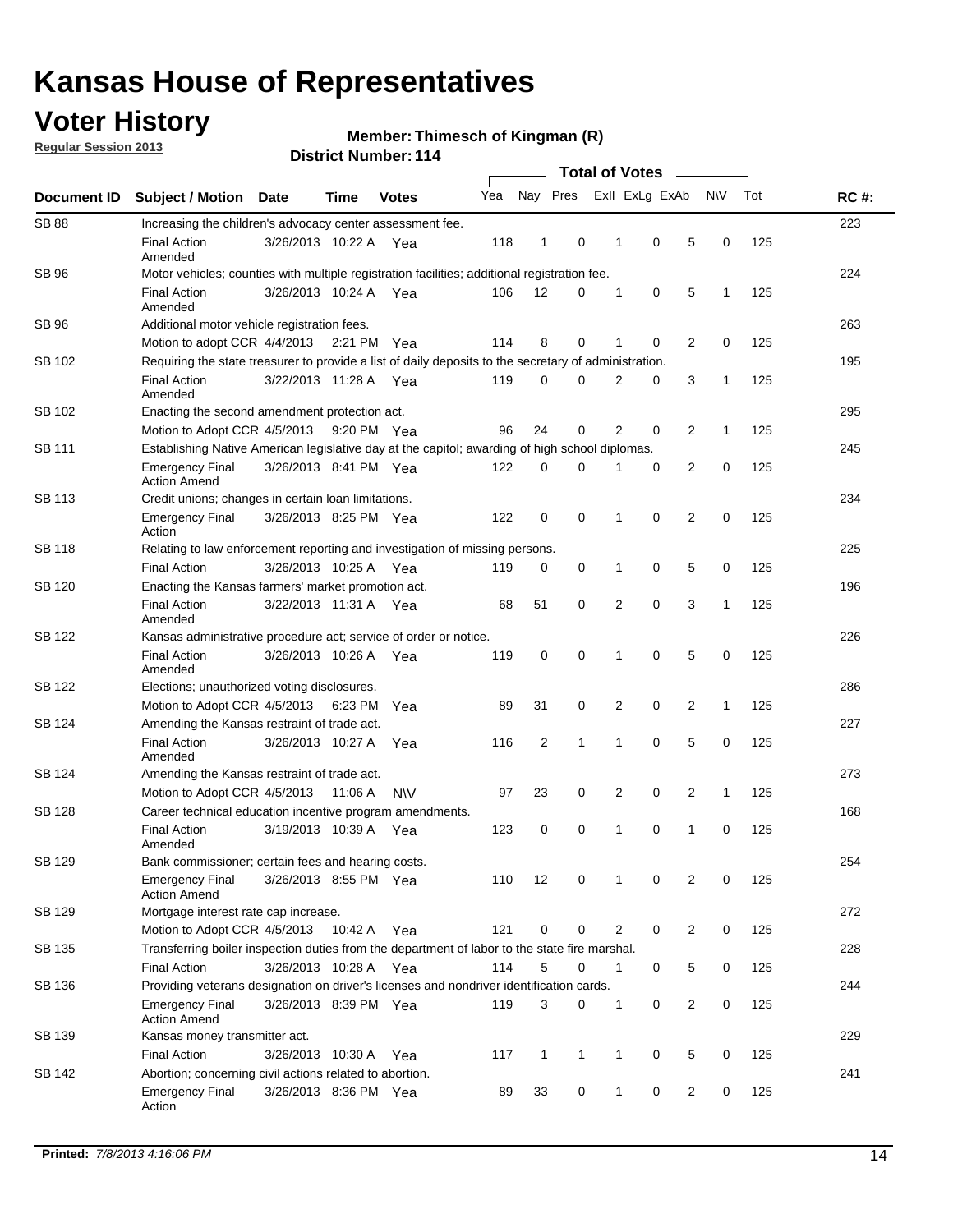## **Voter History**

**Regular Session 2013**

**Member: Thimesch of Kingman (R)** 

|               |                                                                                                       | PISUILLINUIIIDEL. I 14 |             | <b>Total of Votes</b> |     |                |              |  |                |                |                |              |     |             |
|---------------|-------------------------------------------------------------------------------------------------------|------------------------|-------------|-----------------------|-----|----------------|--------------|--|----------------|----------------|----------------|--------------|-----|-------------|
| Document ID   | <b>Subject / Motion Date</b>                                                                          |                        | Time        | <b>Votes</b>          | Yea |                | Nay Pres     |  |                | Exll ExLg ExAb |                | <b>NV</b>    | Tot | <b>RC#:</b> |
| <b>SB 88</b>  | Increasing the children's advocacy center assessment fee.                                             |                        |             |                       |     |                |              |  |                |                |                |              |     | 223         |
|               | <b>Final Action</b><br>Amended                                                                        | 3/26/2013 10:22 A Yea  |             |                       | 118 | $\mathbf{1}$   | $\mathbf 0$  |  | $\mathbf{1}$   | $\mathbf 0$    | 5              | 0            | 125 |             |
| SB 96         | Motor vehicles; counties with multiple registration facilities; additional registration fee.          |                        |             |                       |     |                |              |  |                |                |                |              |     | 224         |
|               | <b>Final Action</b><br>Amended                                                                        | 3/26/2013 10:24 A      |             | Yea                   | 106 | 12             | 0            |  | 1              | 0              | 5              | 1            | 125 |             |
| SB 96         | Additional motor vehicle registration fees.                                                           |                        |             |                       |     |                |              |  |                |                |                |              |     | 263         |
|               | Motion to adopt CCR 4/4/2013 2:21 PM Yea                                                              |                        |             |                       | 114 | 8              | $\Omega$     |  | 1              | $\Omega$       | 2              | 0            | 125 |             |
| SB 102        | Requiring the state treasurer to provide a list of daily deposits to the secretary of administration. |                        |             |                       |     |                |              |  |                |                |                |              |     | 195         |
|               | <b>Final Action</b><br>Amended                                                                        | 3/22/2013 11:28 A      |             | Yea                   | 119 | 0              | 0            |  | 2              | 0              | 3              | 1            | 125 |             |
| SB 102        | Enacting the second amendment protection act.                                                         |                        |             |                       |     |                |              |  |                |                |                |              |     | 295         |
|               | Motion to Adopt CCR 4/5/2013                                                                          |                        | 9:20 PM Yea |                       | 96  | 24             | 0            |  | $\overline{2}$ | 0              | 2              | 1            | 125 |             |
| SB 111        | Establishing Native American legislative day at the capitol; awarding of high school diplomas.        |                        |             |                       |     |                |              |  |                |                |                |              |     | 245         |
|               | Emergency Final<br><b>Action Amend</b>                                                                | 3/26/2013 8:41 PM Yea  |             |                       | 122 | 0              | 0            |  |                | 0              | 2              | 0            | 125 |             |
| <b>SB 113</b> | Credit unions; changes in certain loan limitations.                                                   |                        |             |                       |     |                |              |  |                |                |                |              |     | 234         |
|               | <b>Emergency Final</b><br>Action                                                                      | 3/26/2013 8:25 PM Yea  |             |                       | 122 | $\mathbf 0$    | $\mathbf 0$  |  | 1              | $\mathbf 0$    | 2              | $\mathbf 0$  | 125 |             |
| <b>SB 118</b> | Relating to law enforcement reporting and investigation of missing persons.                           |                        |             |                       |     |                |              |  |                |                |                |              |     | 225         |
|               | <b>Final Action</b>                                                                                   | 3/26/2013 10:25 A      |             | Yea                   | 119 | 0              | 0            |  | 1              | 0              | 5              | 0            | 125 |             |
| SB 120        | Enacting the Kansas farmers' market promotion act.                                                    |                        |             |                       |     |                |              |  |                |                |                |              |     | 196         |
|               | <b>Final Action</b><br>Amended                                                                        | 3/22/2013 11:31 A Yea  |             |                       | 68  | 51             | 0            |  | 2              | $\mathbf 0$    | 3              | 1            | 125 |             |
| <b>SB 122</b> | Kansas administrative procedure act; service of order or notice.                                      |                        |             |                       |     |                |              |  |                |                |                |              |     | 226         |
|               | <b>Final Action</b><br>Amended                                                                        | 3/26/2013 10:26 A Yea  |             |                       | 119 | 0              | 0            |  | 1              | 0              | 5              | 0            | 125 |             |
| SB 122        | Elections; unauthorized voting disclosures.                                                           |                        |             |                       |     |                |              |  |                |                |                |              |     | 286         |
|               | Motion to Adopt CCR 4/5/2013                                                                          |                        | 6:23 PM     | Yea                   | 89  | 31             | 0            |  | 2              | 0              | 2              | $\mathbf{1}$ | 125 |             |
| SB 124        | Amending the Kansas restraint of trade act.                                                           |                        |             |                       |     |                |              |  |                |                |                |              |     | 227         |
|               | <b>Final Action</b><br>Amended                                                                        | 3/26/2013 10:27 A      |             | Yea                   | 116 | $\overline{2}$ | $\mathbf{1}$ |  | 1              | $\mathbf 0$    | 5              | $\mathbf 0$  | 125 |             |
| SB 124        | Amending the Kansas restraint of trade act.                                                           |                        |             |                       |     |                |              |  |                |                |                |              |     | 273         |
|               | Motion to Adopt CCR 4/5/2013                                                                          |                        | 11:06 A     | <b>NV</b>             | 97  | 23             | 0            |  | 2              | 0              | 2              | 1            | 125 |             |
| SB 128        | Career technical education incentive program amendments.                                              |                        |             |                       |     |                |              |  |                |                |                |              |     | 168         |
|               | <b>Final Action</b><br>Amended                                                                        | 3/19/2013 10:39 A      |             | Yea                   | 123 | 0              | 0            |  | 1              | 0              | 1              | 0            | 125 |             |
| SB 129        | Bank commissioner; certain fees and hearing costs.                                                    |                        |             |                       |     |                |              |  |                |                |                |              |     | 254         |
|               | Emergency Final<br><b>Action Amend</b>                                                                | 3/26/2013 8:55 PM Yea  |             |                       | 110 | 12             | 0            |  | $\mathbf 1$    | 0              | 2              | 0            | 125 |             |
| SB 129        | Mortgage interest rate cap increase.                                                                  |                        |             |                       |     |                |              |  |                |                |                |              |     | 272         |
|               | Motion to Adopt CCR 4/5/2013                                                                          |                        | 10:42 A Yea |                       | 121 | 0              | 0            |  | 2              | 0              | 2              | 0            | 125 |             |
| SB 135        | Transferring boiler inspection duties from the department of labor to the state fire marshal.         |                        |             |                       |     |                |              |  |                |                |                |              |     | 228         |
|               | Final Action                                                                                          | 3/26/2013 10:28 A Yea  |             |                       | 114 | 5              | 0            |  | $\mathbf{1}$   | 0              | 5              | 0            | 125 |             |
| SB 136        | Providing veterans designation on driver's licenses and nondriver identification cards.               |                        |             |                       |     |                |              |  |                |                |                |              |     | 244         |
|               | Emergency Final<br><b>Action Amend</b>                                                                | 3/26/2013 8:39 PM Yea  |             |                       | 119 | 3              | 0            |  | 1              | 0              | 2              | 0            | 125 |             |
| SB 139        | Kansas money transmitter act.                                                                         |                        |             |                       |     |                |              |  |                |                |                |              |     | 229         |
|               | <b>Final Action</b>                                                                                   | 3/26/2013 10:30 A      |             | Yea                   | 117 | $\mathbf{1}$   | $\mathbf{1}$ |  | $\mathbf{1}$   | 0              | 5              | $\mathbf 0$  | 125 |             |
| SB 142        | Abortion; concerning civil actions related to abortion.                                               |                        |             |                       |     |                |              |  |                |                |                |              |     | 241         |
|               | Emergency Final<br>Action                                                                             | 3/26/2013 8:36 PM Yea  |             |                       | 89  | 33             | 0            |  | 1              | 0              | $\overline{2}$ | 0            | 125 |             |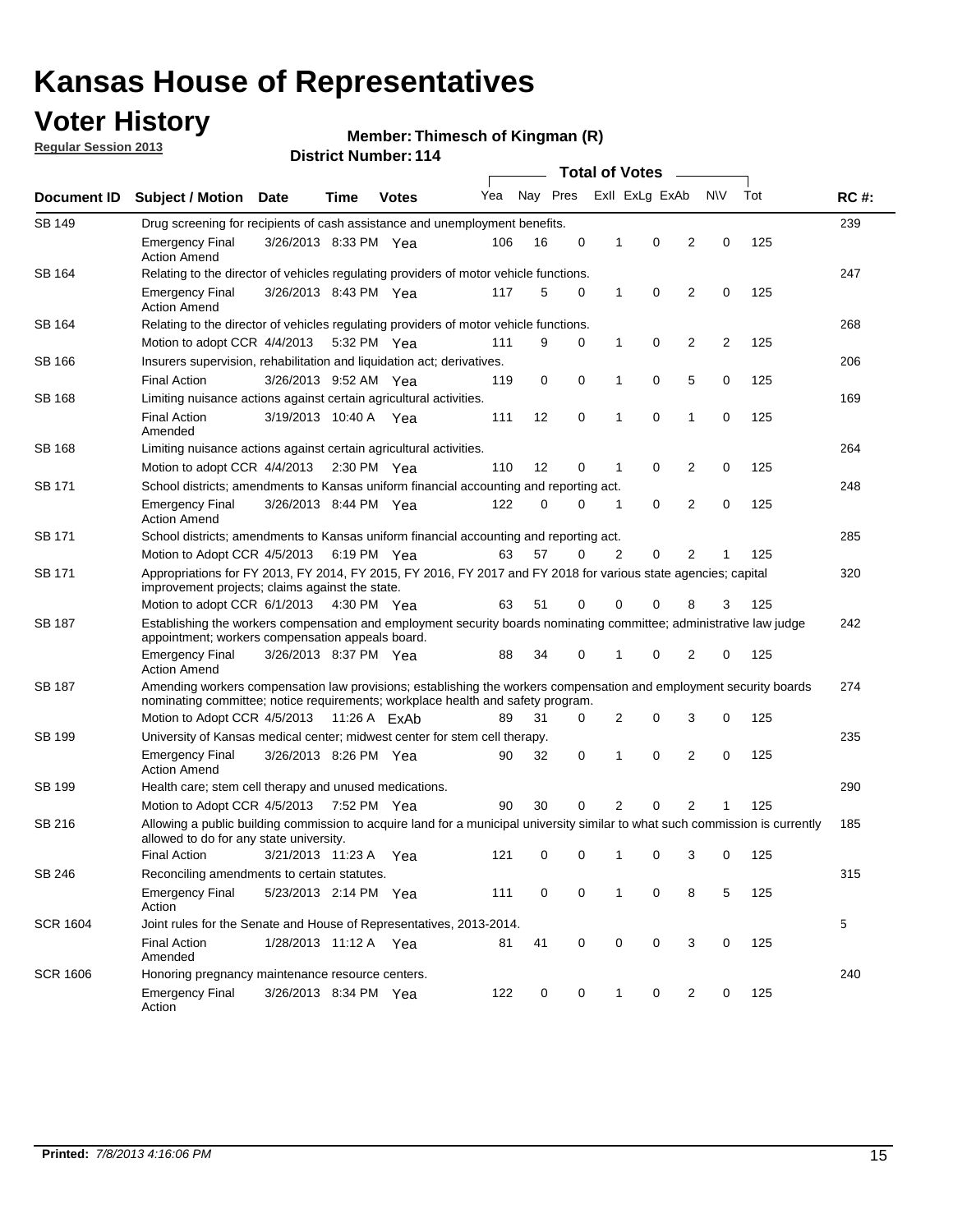## **Voter History**

**Regular Session 2013**

#### **Member: Thimesch of Kingman (R)**

|                 |                                                                                                                                                                                                       |                                                                                      |             |              |     |          |   | <b>Total of Votes</b> |                |                |     |     |             |  |
|-----------------|-------------------------------------------------------------------------------------------------------------------------------------------------------------------------------------------------------|--------------------------------------------------------------------------------------|-------------|--------------|-----|----------|---|-----------------------|----------------|----------------|-----|-----|-------------|--|
| Document ID     | <b>Subject / Motion</b>                                                                                                                                                                               | Date                                                                                 | Time        | <b>Votes</b> | Yea | Nay Pres |   |                       | Exll ExLg ExAb |                | N\V | Tot | <b>RC#:</b> |  |
| <b>SB 149</b>   |                                                                                                                                                                                                       | 239<br>Drug screening for recipients of cash assistance and unemployment benefits.   |             |              |     |          |   |                       |                |                |     |     |             |  |
|                 | <b>Emergency Final</b><br><b>Action Amend</b>                                                                                                                                                         | 3/26/2013 8:33 PM Yea                                                                |             |              | 106 | 16       | 0 | 1                     | 0              | 2              | 0   | 125 |             |  |
| SB 164          | Relating to the director of vehicles regulating providers of motor vehicle functions.                                                                                                                 |                                                                                      |             |              |     |          |   |                       |                |                |     |     | 247         |  |
|                 | <b>Emergency Final</b><br><b>Action Amend</b>                                                                                                                                                         | 3/26/2013 8:43 PM Yea                                                                |             |              | 117 | 5        | 0 | 1                     | 0              | 2              | 0   | 125 |             |  |
| SB 164          | Relating to the director of vehicles regulating providers of motor vehicle functions.                                                                                                                 |                                                                                      |             |              |     |          |   |                       |                |                |     |     | 268         |  |
|                 | Motion to adopt CCR 4/4/2013 5:32 PM Yea                                                                                                                                                              |                                                                                      |             |              | 111 | 9        | 0 | $\mathbf{1}$          | 0              | 2              | 2   | 125 |             |  |
| SB 166          |                                                                                                                                                                                                       | Insurers supervision, rehabilitation and liquidation act; derivatives.               |             |              |     |          |   |                       |                |                |     |     | 206         |  |
|                 | <b>Final Action</b>                                                                                                                                                                                   | 3/26/2013 9:52 AM Yea                                                                |             |              | 119 | 0        | 0 | 1                     | 0              | 5              | 0   | 125 |             |  |
| <b>SB 168</b>   | Limiting nuisance actions against certain agricultural activities.                                                                                                                                    |                                                                                      |             |              |     |          |   |                       |                |                |     |     | 169         |  |
|                 | <b>Final Action</b><br>Amended                                                                                                                                                                        | 3/19/2013 10:40 A Yea                                                                |             |              | 111 | 12       | 0 | 1                     | $\mathbf 0$    | 1              | 0   | 125 |             |  |
| SB 168          | Limiting nuisance actions against certain agricultural activities.                                                                                                                                    |                                                                                      |             |              |     |          |   |                       |                |                |     |     | 264         |  |
|                 | Motion to adopt CCR 4/4/2013                                                                                                                                                                          |                                                                                      | 2:30 PM Yea |              | 110 | 12       | 0 | 1                     | 0              | 2              | 0   | 125 |             |  |
| SB 171          | School districts; amendments to Kansas uniform financial accounting and reporting act.                                                                                                                |                                                                                      |             |              |     |          |   |                       |                |                |     |     | 248         |  |
|                 | <b>Emergency Final</b><br><b>Action Amend</b>                                                                                                                                                         | 3/26/2013 8:44 PM Yea                                                                |             |              | 122 | 0        | 0 | 1                     | 0              | 2              | 0   | 125 |             |  |
| SB 171          | School districts; amendments to Kansas uniform financial accounting and reporting act.                                                                                                                |                                                                                      |             |              |     |          |   |                       |                |                |     |     | 285         |  |
|                 |                                                                                                                                                                                                       | Motion to Adopt CCR 4/5/2013 6:19 PM Yea<br>63<br>57<br>0<br>2<br>0<br>2<br>125<br>1 |             |              |     |          |   |                       |                |                |     |     |             |  |
| SB 171          | Appropriations for FY 2013, FY 2014, FY 2015, FY 2016, FY 2017 and FY 2018 for various state agencies; capital<br>improvement projects; claims against the state.                                     |                                                                                      |             |              |     |          |   |                       |                |                |     |     | 320         |  |
|                 | Motion to adopt CCR 6/1/2013 4:30 PM Yea                                                                                                                                                              |                                                                                      |             |              | 63  | 51       | 0 | 0                     | 0              | 8              | 3   | 125 |             |  |
| SB 187          | Establishing the workers compensation and employment security boards nominating committee; administrative law judge<br>appointment; workers compensation appeals board.                               |                                                                                      |             |              |     |          |   |                       |                |                |     | 242 |             |  |
|                 | <b>Emergency Final</b><br><b>Action Amend</b>                                                                                                                                                         | 3/26/2013 8:37 PM Yea                                                                |             |              | 88  | 34       | 0 | 1                     | 0              | 2              | 0   | 125 |             |  |
| SB 187          | Amending workers compensation law provisions; establishing the workers compensation and employment security boards<br>nominating committee; notice requirements; workplace health and safety program. |                                                                                      |             |              |     |          |   |                       |                |                |     |     | 274         |  |
|                 | Motion to Adopt CCR 4/5/2013 11:26 A ExAb                                                                                                                                                             |                                                                                      |             |              | 89  | 31       | 0 | 2                     | 0              | 3              | 0   | 125 |             |  |
| SB 199          | University of Kansas medical center; midwest center for stem cell therapy.                                                                                                                            |                                                                                      |             |              |     |          |   |                       |                |                |     |     | 235         |  |
|                 | <b>Emergency Final</b><br><b>Action Amend</b>                                                                                                                                                         | 3/26/2013 8:26 PM Yea                                                                |             |              | 90  | 32       | 0 | 1                     | 0              | 2              | 0   | 125 |             |  |
| SB 199          | Health care; stem cell therapy and unused medications.                                                                                                                                                |                                                                                      |             |              |     |          |   |                       |                |                |     |     | 290         |  |
|                 | Motion to Adopt CCR 4/5/2013 7:52 PM Yea                                                                                                                                                              |                                                                                      |             |              | 90  | 30       | 0 | 2                     | 0              | $\overline{2}$ | 1   | 125 |             |  |
| SB 216          | Allowing a public building commission to acquire land for a municipal university similar to what such commission is currently<br>allowed to do for any state university.                              |                                                                                      |             |              |     |          |   |                       |                |                |     |     | 185         |  |
|                 | <b>Final Action</b>                                                                                                                                                                                   | 3/21/2013 11:23 A Yea                                                                |             |              | 121 | 0        | 0 | 1                     | 0              | 3              | 0   | 125 |             |  |
| SB 246          | Reconciling amendments to certain statutes.                                                                                                                                                           |                                                                                      |             |              |     |          |   |                       |                |                |     |     | 315         |  |
|                 | <b>Emergency Final</b><br>Action                                                                                                                                                                      | 5/23/2013 2:14 PM Yea                                                                |             |              | 111 | 0        | 0 | 1                     | 0              | 8              | 5   | 125 |             |  |
| <b>SCR 1604</b> | Joint rules for the Senate and House of Representatives, 2013-2014.                                                                                                                                   |                                                                                      |             |              |     |          |   |                       |                |                |     |     | 5           |  |
|                 | <b>Final Action</b><br>Amended                                                                                                                                                                        | 1/28/2013 11:12 A Yea                                                                |             |              | 81  | 41       | 0 | 0                     | 0              | 3              | 0   | 125 |             |  |
| <b>SCR 1606</b> | Honoring pregnancy maintenance resource centers.                                                                                                                                                      |                                                                                      |             |              |     |          |   |                       |                |                |     |     | 240         |  |
|                 | <b>Emergency Final</b><br>Action                                                                                                                                                                      | 3/26/2013 8:34 PM Yea                                                                |             |              | 122 | 0        | 0 | 1                     | 0              | 2              | 0   | 125 |             |  |